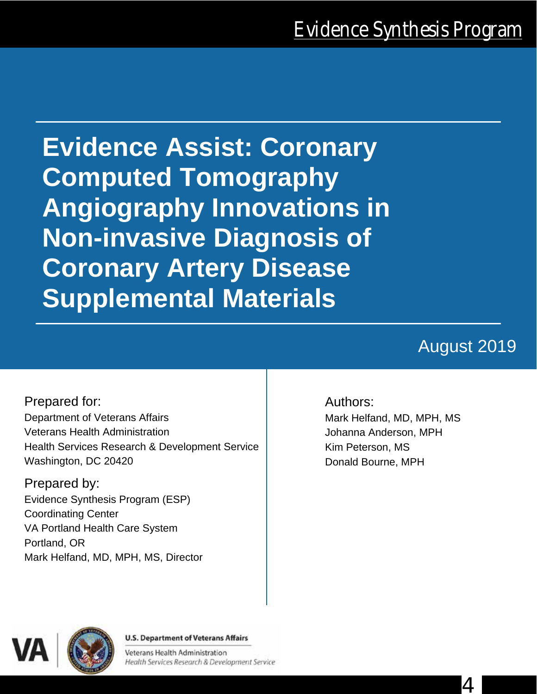**Evidence Assist: Coronary Computed Tomography Angiography Innovations in Non-invasive Diagnosis of Coronary Artery Disease Supplemental Materials** 

# August 2019

Prepared for: Department of Veterans Affairs Veterans Health Administration Health Services Research & Development Service Washington, DC 20420

Prepared by: Evidence Synthesis Program (ESP) Coordinating Center VA Portland Health Care System Portland, OR Mark Helfand, MD, MPH, MS, Director

### Authors:

Mark Helfand, MD, MPH, MS Johanna Anderson, MPH Kim Peterson, MS Donald Bourne, MPH



#### **U.S. Department of Veterans Affairs**

Veterans Health Administration Health Services Research & Development Service

4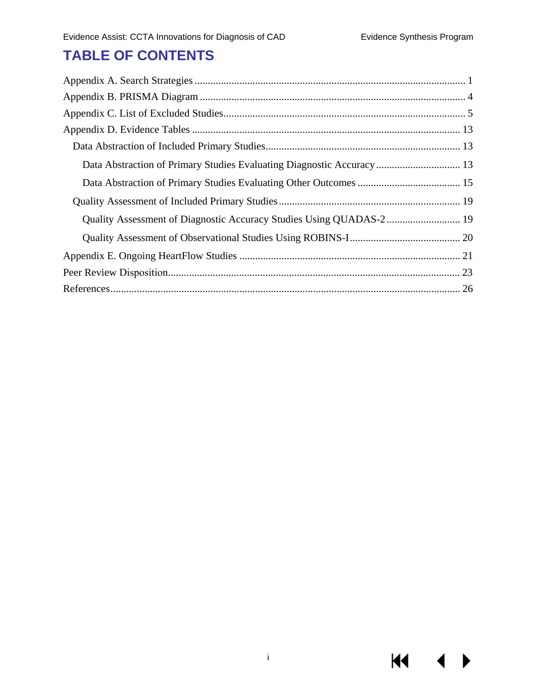**KK** 

## **TABLE OF CONTENTS**

| Data Abstraction of Primary Studies Evaluating Diagnostic Accuracy 13 |  |
|-----------------------------------------------------------------------|--|
|                                                                       |  |
|                                                                       |  |
|                                                                       |  |
|                                                                       |  |
|                                                                       |  |
|                                                                       |  |
|                                                                       |  |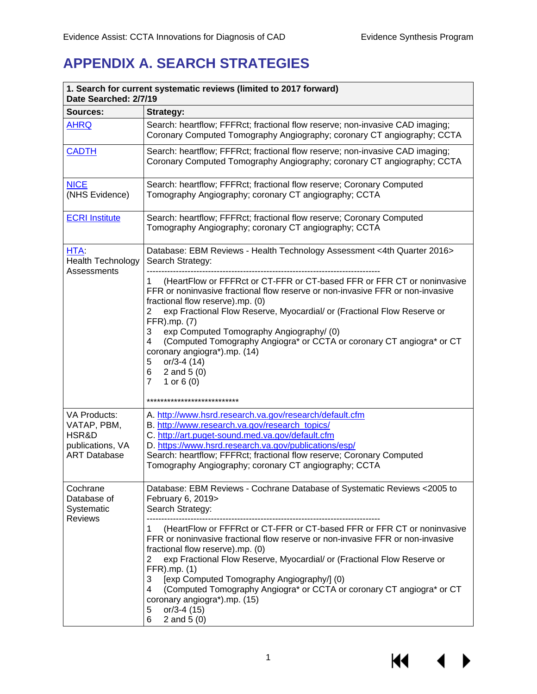## <span id="page-2-0"></span>**APPENDIX A. SEARCH STRATEGIES**

| 1. Search for current systematic reviews (limited to 2017 forward)<br>Date Searched: 2/7/19 |                                                                                                                                                                                                                                                                                                                                                                                                                                                                                                                                                                             |  |  |
|---------------------------------------------------------------------------------------------|-----------------------------------------------------------------------------------------------------------------------------------------------------------------------------------------------------------------------------------------------------------------------------------------------------------------------------------------------------------------------------------------------------------------------------------------------------------------------------------------------------------------------------------------------------------------------------|--|--|
| Sources:                                                                                    | <b>Strategy:</b>                                                                                                                                                                                                                                                                                                                                                                                                                                                                                                                                                            |  |  |
| <b>AHRQ</b>                                                                                 | Search: heartflow; FFFRct; fractional flow reserve; non-invasive CAD imaging;<br>Coronary Computed Tomography Angiography; coronary CT angiography; CCTA                                                                                                                                                                                                                                                                                                                                                                                                                    |  |  |
| <b>CADTH</b>                                                                                | Search: heartflow; FFFRct; fractional flow reserve; non-invasive CAD imaging;<br>Coronary Computed Tomography Angiography; coronary CT angiography; CCTA                                                                                                                                                                                                                                                                                                                                                                                                                    |  |  |
| <b>NICE</b><br>(NHS Evidence)                                                               | Search: heartflow; FFFRct; fractional flow reserve; Coronary Computed<br>Tomography Angiography; coronary CT angiography; CCTA                                                                                                                                                                                                                                                                                                                                                                                                                                              |  |  |
| <b>ECRI Institute</b>                                                                       | Search: heartflow; FFFRct; fractional flow reserve; Coronary Computed<br>Tomography Angiography; coronary CT angiography; CCTA                                                                                                                                                                                                                                                                                                                                                                                                                                              |  |  |
| HTA:<br><b>Health Technology</b><br>Assessments                                             | Database: EBM Reviews - Health Technology Assessment <4th Quarter 2016><br>Search Strategy:                                                                                                                                                                                                                                                                                                                                                                                                                                                                                 |  |  |
|                                                                                             | (HeartFlow or FFFRct or CT-FFR or CT-based FFR or FFR CT or noninvasive<br>1<br>FFR or noninvasive fractional flow reserve or non-invasive FFR or non-invasive<br>fractional flow reserve).mp. (0)<br>exp Fractional Flow Reserve, Myocardial/ or (Fractional Flow Reserve or<br>2<br>FFR).mp. (7)<br>exp Computed Tomography Angiography/ (0)<br>3<br>(Computed Tomography Angiogra* or CCTA or coronary CT angiogra* or CT<br>4<br>coronary angiogra*).mp. (14)<br>5<br>$or/3-4(14)$<br>6<br>2 and $5(0)$<br>$\overline{7}$<br>1 or $6(0)$<br>*************************** |  |  |
| VA Products:                                                                                | A. http://www.hsrd.research.va.gov/research/default.cfm                                                                                                                                                                                                                                                                                                                                                                                                                                                                                                                     |  |  |
| VATAP, PBM,                                                                                 | B. http://www.research.va.gov/research_topics/                                                                                                                                                                                                                                                                                                                                                                                                                                                                                                                              |  |  |
| HSR&D                                                                                       | C. http://art.puget-sound.med.va.gov/default.cfm                                                                                                                                                                                                                                                                                                                                                                                                                                                                                                                            |  |  |
| publications, VA                                                                            | D. https://www.hsrd.research.va.gov/publications/esp/                                                                                                                                                                                                                                                                                                                                                                                                                                                                                                                       |  |  |
| <b>ART Database</b>                                                                         | Search: heartflow; FFFRct; fractional flow reserve; Coronary Computed                                                                                                                                                                                                                                                                                                                                                                                                                                                                                                       |  |  |
|                                                                                             | Tomography Angiography; coronary CT angiography; CCTA                                                                                                                                                                                                                                                                                                                                                                                                                                                                                                                       |  |  |
| Cochrane<br>Database of<br>Systematic<br><b>Reviews</b>                                     | Database: EBM Reviews - Cochrane Database of Systematic Reviews < 2005 to<br>February 6, 2019><br>Search Strategy:                                                                                                                                                                                                                                                                                                                                                                                                                                                          |  |  |
|                                                                                             | (HeartFlow or FFFRct or CT-FFR or CT-based FFR or FFR CT or noninvasive<br>1<br>FFR or noninvasive fractional flow reserve or non-invasive FFR or non-invasive<br>fractional flow reserve).mp. (0)<br>exp Fractional Flow Reserve, Myocardial/ or (Fractional Flow Reserve or<br>2<br>FFR).mp. (1)<br>[exp Computed Tomography Angiography/] (0)<br>3<br>(Computed Tomography Angiogra* or CCTA or coronary CT angiogra* or CT<br>4<br>coronary angiogra*).mp. (15)<br>$or/3-4(15)$<br>5<br>6<br>2 and $5(0)$                                                               |  |  |

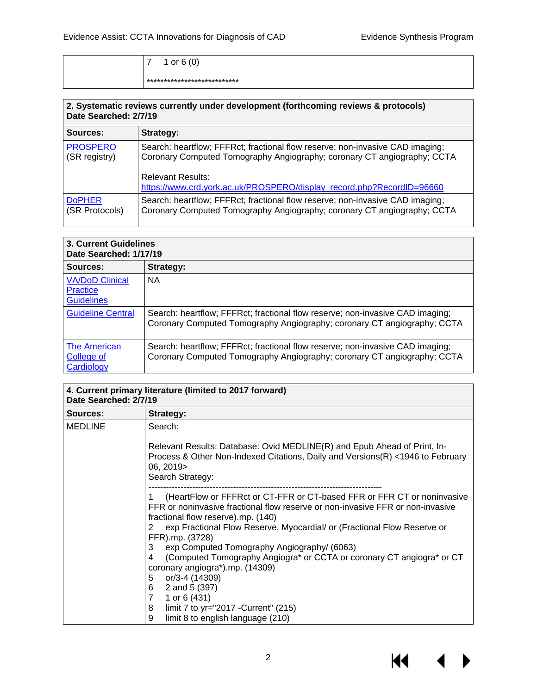| 1 or $6(0)$                 |
|-----------------------------|
| *************************** |

| 2. Systematic reviews currently under development (forthcoming reviews & protocols)<br>Date Searched: 2/7/19 |                                                                                                                                                                                                                                                               |  |
|--------------------------------------------------------------------------------------------------------------|---------------------------------------------------------------------------------------------------------------------------------------------------------------------------------------------------------------------------------------------------------------|--|
| Sources:                                                                                                     | Strategy:                                                                                                                                                                                                                                                     |  |
| <b>PROSPERO</b><br>(SR registry)                                                                             | Search: heartflow; FFFRct; fractional flow reserve; non-invasive CAD imaging;<br>Coronary Computed Tomography Angiography; coronary CT angiography; CCTA<br><b>Relevant Results:</b><br>https://www.crd.york.ac.uk/PROSPERO/display_record.php?RecordID=96660 |  |
| <b>DoPHER</b><br>(SR Protocols)                                                                              | Search: heartflow; FFFRct; fractional flow reserve; non-invasive CAD imaging;<br>Coronary Computed Tomography Angiography; coronary CT angiography; CCTA                                                                                                      |  |

| 3. Current Guidelines<br>Date Searched: 1/17/19                |                                                                                                                                                          |  |
|----------------------------------------------------------------|----------------------------------------------------------------------------------------------------------------------------------------------------------|--|
| Sources:                                                       | Strategy:                                                                                                                                                |  |
| <b>VA/DoD Clinical</b><br><b>Practice</b><br><b>Guidelines</b> | <b>NA</b>                                                                                                                                                |  |
| <b>Guideline Central</b>                                       | Search: heartflow; FFFRct; fractional flow reserve; non-invasive CAD imaging;<br>Coronary Computed Tomography Angiography; coronary CT angiography; CCTA |  |
| <b>The American</b><br>College of<br>Cardiology                | Search: heartflow; FFFRct; fractional flow reserve; non-invasive CAD imaging;<br>Coronary Computed Tomography Angiography; coronary CT angiography; CCTA |  |

| 4. Current primary literature (limited to 2017 forward)<br>Date Searched: 2/7/19 |                                                                                                                                                                                                                                                                                                                                                                                                                                                                                                                                                                                                                                                       |  |  |
|----------------------------------------------------------------------------------|-------------------------------------------------------------------------------------------------------------------------------------------------------------------------------------------------------------------------------------------------------------------------------------------------------------------------------------------------------------------------------------------------------------------------------------------------------------------------------------------------------------------------------------------------------------------------------------------------------------------------------------------------------|--|--|
| Sources:                                                                         | Strategy:                                                                                                                                                                                                                                                                                                                                                                                                                                                                                                                                                                                                                                             |  |  |
| <b>MEDLINE</b>                                                                   | Search:                                                                                                                                                                                                                                                                                                                                                                                                                                                                                                                                                                                                                                               |  |  |
|                                                                                  | Relevant Results: Database: Ovid MEDLINE(R) and Epub Ahead of Print, In-<br>Process & Other Non-Indexed Citations, Daily and Versions(R) <1946 to February<br>06, 2019><br>Search Strategy:                                                                                                                                                                                                                                                                                                                                                                                                                                                           |  |  |
|                                                                                  | (HeartFlow or FFFRct or CT-FFR or CT-based FFR or FFR CT or noninvasive<br>FFR or noninvasive fractional flow reserve or non-invasive FFR or non-invasive<br>fractional flow reserve).mp. (140)<br>exp Fractional Flow Reserve, Myocardial/ or (Fractional Flow Reserve or<br>$\mathbf{2}^{\prime}$<br>FFR).mp. (3728)<br>3<br>exp Computed Tomography Angiography/ (6063)<br>(Computed Tomography Angiogra* or CCTA or coronary CT angiogra* or CT<br>4<br>coronary angiogra*).mp. (14309)<br>or/3-4 (14309)<br>5<br>2 and 5 (397)<br>6<br>7<br>1 or $6(431)$<br>8<br>limit 7 to yr="2017 - Current" (215)<br>9<br>limit 8 to english language (210) |  |  |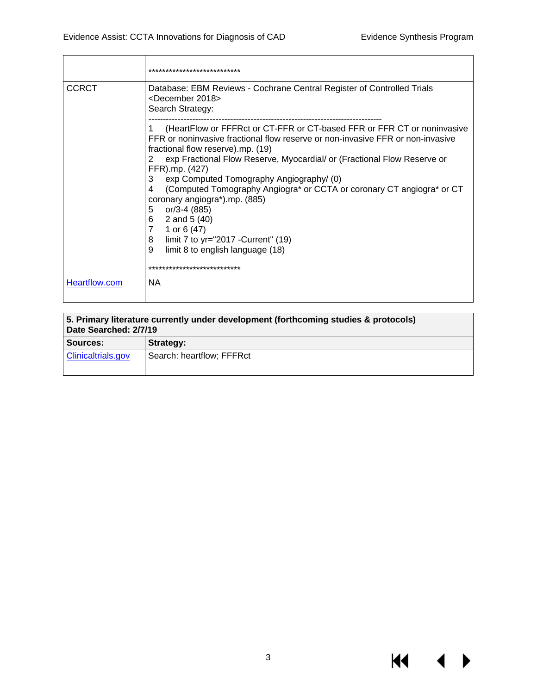|               | ***************************                                                                                                                                                                                                                                                                                                                                                                                                                                                                                                                                                                                                                                       |
|---------------|-------------------------------------------------------------------------------------------------------------------------------------------------------------------------------------------------------------------------------------------------------------------------------------------------------------------------------------------------------------------------------------------------------------------------------------------------------------------------------------------------------------------------------------------------------------------------------------------------------------------------------------------------------------------|
| <b>CCRCT</b>  | Database: EBM Reviews - Cochrane Central Register of Controlled Trials<br><december 2018=""><br/>Search Strategy:</december>                                                                                                                                                                                                                                                                                                                                                                                                                                                                                                                                      |
|               | (HeartFlow or FFFRct or CT-FFR or CT-based FFR or FFR CT or noninvasive<br>FFR or noninvasive fractional flow reserve or non-invasive FFR or non-invasive<br>fractional flow reserve).mp. (19)<br>exp Fractional Flow Reserve, Myocardial/ or (Fractional Flow Reserve or<br>2<br>FFR).mp. (427)<br>3<br>exp Computed Tomography Angiography/(0)<br>(Computed Tomography Angiogra* or CCTA or coronary CT angiogra* or CT<br>4<br>coronary angiogra*).mp. (885)<br>5<br>or/3-4 (885)<br>2 and 5 (40)<br>6<br>$\overline{7}$<br>1 or $6(47)$<br>8<br>limit 7 to $yr="2017 - Current" (19)$<br>9<br>limit 8 to english language (18)<br>*************************** |
| Heartflow.com | <b>NA</b>                                                                                                                                                                                                                                                                                                                                                                                                                                                                                                                                                                                                                                                         |

| 5. Primary literature currently under development (forthcoming studies & protocols)<br>Date Searched: 2/7/19 |                           |  |  |
|--------------------------------------------------------------------------------------------------------------|---------------------------|--|--|
| Sources:                                                                                                     | Strategy:                 |  |  |
| <b>Clinicaltrials.gov</b>                                                                                    | Search: heartflow; FFFRct |  |  |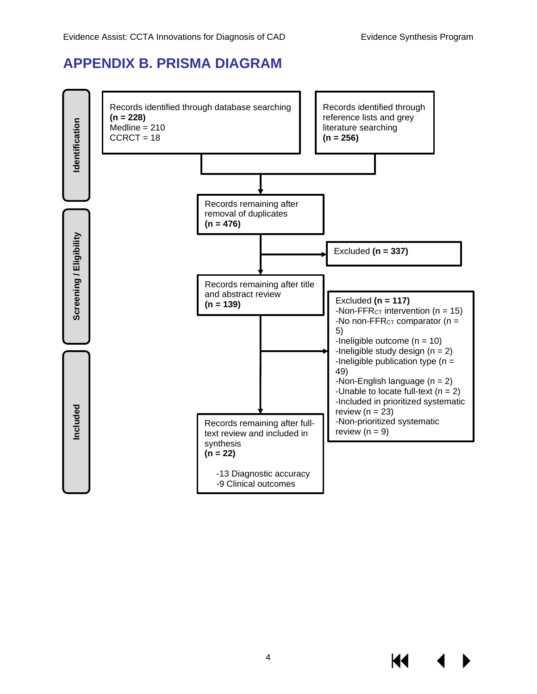### <span id="page-5-0"></span>**APPENDIX B. PRISMA DIAGRAM**

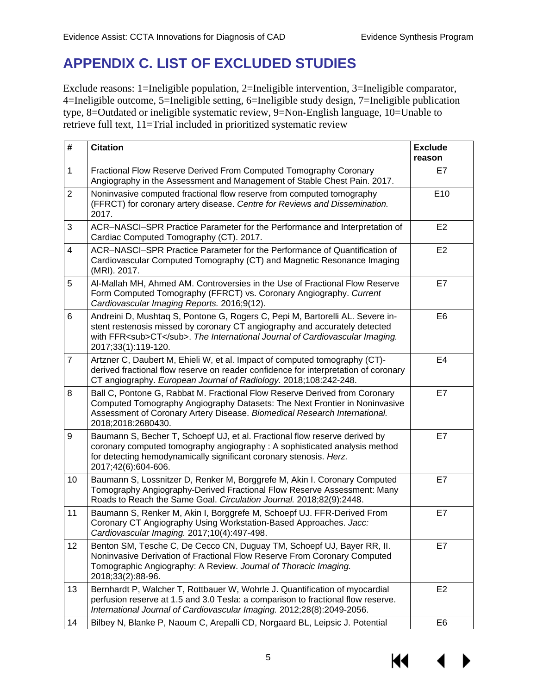## <span id="page-6-0"></span>**APPENDIX C. LIST OF EXCLUDED STUDIES**

Exclude reasons: 1=Ineligible population, 2=Ineligible intervention, 3=Ineligible comparator, 4=Ineligible outcome, 5=Ineligible setting, 6=Ineligible study design, 7=Ineligible publication type, 8=Outdated or ineligible systematic review, 9=Non-English language, 10=Unable to retrieve full text, 11=Trial included in prioritized systematic review

| $\#$           | <b>Citation</b>                                                                                                                                                                                                                                                     | <b>Exclude</b><br>reason |
|----------------|---------------------------------------------------------------------------------------------------------------------------------------------------------------------------------------------------------------------------------------------------------------------|--------------------------|
| 1              | Fractional Flow Reserve Derived From Computed Tomography Coronary<br>Angiography in the Assessment and Management of Stable Chest Pain. 2017.                                                                                                                       | E7                       |
| $\overline{2}$ | Noninvasive computed fractional flow reserve from computed tomography<br>(FFRCT) for coronary artery disease. Centre for Reviews and Dissemination.<br>2017.                                                                                                        | E <sub>10</sub>          |
| 3              | ACR-NASCI-SPR Practice Parameter for the Performance and Interpretation of<br>Cardiac Computed Tomography (CT). 2017.                                                                                                                                               | E <sub>2</sub>           |
| $\overline{4}$ | ACR-NASCI-SPR Practice Parameter for the Performance of Quantification of<br>Cardiovascular Computed Tomography (CT) and Magnetic Resonance Imaging<br>(MRI). 2017.                                                                                                 | E <sub>2</sub>           |
| 5              | Al-Mallah MH, Ahmed AM. Controversies in the Use of Fractional Flow Reserve<br>Form Computed Tomography (FFRCT) vs. Coronary Angiography. Current<br>Cardiovascular Imaging Reports. 2016;9(12).                                                                    | E7                       |
| 6              | Andreini D, Mushtaq S, Pontone G, Rogers C, Pepi M, Bartorelli AL. Severe in-<br>stent restenosis missed by coronary CT angiography and accurately detected<br>with FFR <sub>CT</sub> . The International Journal of Cardiovascular Imaging.<br>2017;33(1):119-120. | E <sub>6</sub>           |
| $\overline{7}$ | Artzner C, Daubert M, Ehieli W, et al. Impact of computed tomography (CT)-<br>derived fractional flow reserve on reader confidence for interpretation of coronary<br>CT angiography. European Journal of Radiology. 2018;108:242-248.                               | E4                       |
| 8              | Ball C, Pontone G, Rabbat M. Fractional Flow Reserve Derived from Coronary<br>Computed Tomography Angiography Datasets: The Next Frontier in Noninvasive<br>Assessment of Coronary Artery Disease. Biomedical Research International.<br>2018;2018:2680430.         | E7                       |
| 9              | Baumann S, Becher T, Schoepf UJ, et al. Fractional flow reserve derived by<br>coronary computed tomography angiography : A sophisticated analysis method<br>for detecting hemodynamically significant coronary stenosis. Herz.<br>2017;42(6):604-606.               | E7                       |
| 10             | Baumann S, Lossnitzer D, Renker M, Borggrefe M, Akin I. Coronary Computed<br>Tomography Angiography-Derived Fractional Flow Reserve Assessment: Many<br>Roads to Reach the Same Goal. Circulation Journal. 2018;82(9):2448.                                         | E7                       |
| 11             | Baumann S, Renker M, Akin I, Borggrefe M, Schoepf UJ. FFR-Derived From<br>Coronary CT Angiography Using Workstation-Based Approaches. Jacc:<br>Cardiovascular Imaging. 2017;10(4):497-498.                                                                          | E7                       |
| 12             | Benton SM, Tesche C, De Cecco CN, Duguay TM, Schoepf UJ, Bayer RR, II.<br>Noninvasive Derivation of Fractional Flow Reserve From Coronary Computed<br>Tomographic Angiography: A Review. Journal of Thoracic Imaging.<br>2018;33(2):88-96.                          | E7                       |
| 13             | Bernhardt P, Walcher T, Rottbauer W, Wohrle J. Quantification of myocardial<br>perfusion reserve at 1.5 and 3.0 Tesla: a comparison to fractional flow reserve.<br>International Journal of Cardiovascular Imaging. 2012;28(8):2049-2056.                           | E <sub>2</sub>           |
| 14             | Bilbey N, Blanke P, Naoum C, Arepalli CD, Norgaard BL, Leipsic J. Potential                                                                                                                                                                                         | E <sub>6</sub>           |

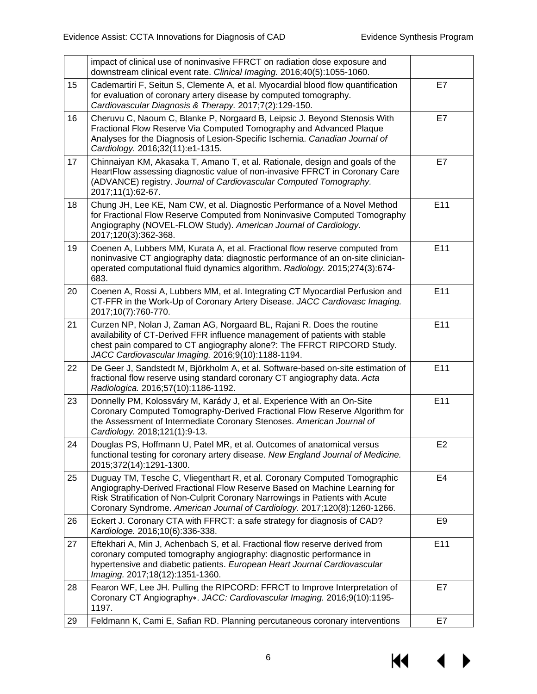|    | impact of clinical use of noninvasive FFRCT on radiation dose exposure and<br>downstream clinical event rate. Clinical Imaging. 2016;40(5):1055-1060.                                                                                                                                                                |                |
|----|----------------------------------------------------------------------------------------------------------------------------------------------------------------------------------------------------------------------------------------------------------------------------------------------------------------------|----------------|
| 15 | Cademartiri F, Seitun S, Clemente A, et al. Myocardial blood flow quantification<br>for evaluation of coronary artery disease by computed tomography.<br>Cardiovascular Diagnosis & Therapy. 2017;7(2):129-150.                                                                                                      | E7             |
| 16 | Cheruvu C, Naoum C, Blanke P, Norgaard B, Leipsic J. Beyond Stenosis With<br>Fractional Flow Reserve Via Computed Tomography and Advanced Plaque<br>Analyses for the Diagnosis of Lesion-Specific Ischemia. Canadian Journal of<br>Cardiology. 2016;32(11):e1-1315.                                                  | E7             |
| 17 | Chinnaiyan KM, Akasaka T, Amano T, et al. Rationale, design and goals of the<br>HeartFlow assessing diagnostic value of non-invasive FFRCT in Coronary Care<br>(ADVANCE) registry. Journal of Cardiovascular Computed Tomography.<br>2017;11(1):62-67.                                                               | E7             |
| 18 | Chung JH, Lee KE, Nam CW, et al. Diagnostic Performance of a Novel Method<br>for Fractional Flow Reserve Computed from Noninvasive Computed Tomography<br>Angiography (NOVEL-FLOW Study). American Journal of Cardiology.<br>2017;120(3):362-368.                                                                    | E11            |
| 19 | Coenen A, Lubbers MM, Kurata A, et al. Fractional flow reserve computed from<br>noninvasive CT angiography data: diagnostic performance of an on-site clinician-<br>operated computational fluid dynamics algorithm. Radiology. 2015;274(3):674-<br>683.                                                             | E11            |
| 20 | Coenen A, Rossi A, Lubbers MM, et al. Integrating CT Myocardial Perfusion and<br>CT-FFR in the Work-Up of Coronary Artery Disease. JACC Cardiovasc Imaging.<br>2017;10(7):760-770.                                                                                                                                   | E11            |
| 21 | Curzen NP, Nolan J, Zaman AG, Norgaard BL, Rajani R. Does the routine<br>availability of CT-Derived FFR influence management of patients with stable<br>chest pain compared to CT angiography alone?: The FFRCT RIPCORD Study.<br>JACC Cardiovascular Imaging. 2016;9(10):1188-1194.                                 | E11            |
| 22 | De Geer J, Sandstedt M, Björkholm A, et al. Software-based on-site estimation of<br>fractional flow reserve using standard coronary CT angiography data. Acta<br>Radiologica. 2016;57(10):1186-1192.                                                                                                                 | E11            |
| 23 | Donnelly PM, Kolossváry M, Karády J, et al. Experience With an On-Site<br>Coronary Computed Tomography-Derived Fractional Flow Reserve Algorithm for<br>the Assessment of Intermediate Coronary Stenoses. American Journal of<br>Cardiology. 2018;121(1):9-13.                                                       | E11            |
| 24 | Douglas PS, Hoffmann U, Patel MR, et al. Outcomes of anatomical versus<br>functional testing for coronary artery disease. New England Journal of Medicine.<br>2015;372(14):1291-1300.                                                                                                                                | E <sub>2</sub> |
| 25 | Duguay TM, Tesche C, Vliegenthart R, et al. Coronary Computed Tomographic<br>Angiography-Derived Fractional Flow Reserve Based on Machine Learning for<br>Risk Stratification of Non-Culprit Coronary Narrowings in Patients with Acute<br>Coronary Syndrome. American Journal of Cardiology. 2017;120(8):1260-1266. | E4             |
| 26 | Eckert J. Coronary CTA with FFRCT: a safe strategy for diagnosis of CAD?<br>Kardiologe. 2016;10(6):336-338.                                                                                                                                                                                                          | E <sub>9</sub> |
| 27 | Eftekhari A, Min J, Achenbach S, et al. Fractional flow reserve derived from<br>coronary computed tomography angiography: diagnostic performance in<br>hypertensive and diabetic patients. European Heart Journal Cardiovascular<br>Imaging. 2017;18(12):1351-1360.                                                  | E11            |
| 28 | Fearon WF, Lee JH. Pulling the RIPCORD: FFRCT to Improve Interpretation of<br>Coronary CT Angiography». JACC: Cardiovascular Imaging. 2016;9(10):1195-<br>1197.                                                                                                                                                      | E7             |
| 29 | Feldmann K, Cami E, Safian RD. Planning percutaneous coronary interventions                                                                                                                                                                                                                                          | E7             |

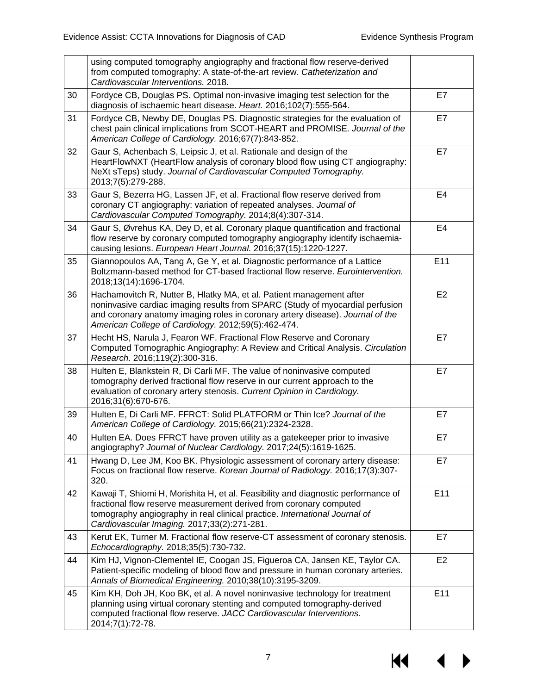|    | using computed tomography angiography and fractional flow reserve-derived<br>from computed tomography: A state-of-the-art review. Catheterization and<br>Cardiovascular Interventions. 2018.                                                                                                   |                |
|----|------------------------------------------------------------------------------------------------------------------------------------------------------------------------------------------------------------------------------------------------------------------------------------------------|----------------|
| 30 | Fordyce CB, Douglas PS. Optimal non-invasive imaging test selection for the<br>diagnosis of ischaemic heart disease. Heart. 2016;102(7):555-564.                                                                                                                                               | E7             |
| 31 | Fordyce CB, Newby DE, Douglas PS. Diagnostic strategies for the evaluation of<br>chest pain clinical implications from SCOT-HEART and PROMISE. Journal of the<br>American College of Cardiology. 2016;67(7):843-852.                                                                           | E7             |
| 32 | Gaur S, Achenbach S, Leipsic J, et al. Rationale and design of the<br>HeartFlowNXT (HeartFlow analysis of coronary blood flow using CT angiography:<br>NeXt sTeps) study. Journal of Cardiovascular Computed Tomography.<br>2013;7(5):279-288.                                                 | E7             |
| 33 | Gaur S, Bezerra HG, Lassen JF, et al. Fractional flow reserve derived from<br>coronary CT angiography: variation of repeated analyses. Journal of<br>Cardiovascular Computed Tomography. 2014;8(4):307-314.                                                                                    | E4             |
| 34 | Gaur S, Øvrehus KA, Dey D, et al. Coronary plaque quantification and fractional<br>flow reserve by coronary computed tomography angiography identify ischaemia-<br>causing lesions. European Heart Journal. 2016;37(15):1220-1227.                                                             | E <sub>4</sub> |
| 35 | Giannopoulos AA, Tang A, Ge Y, et al. Diagnostic performance of a Lattice<br>Boltzmann-based method for CT-based fractional flow reserve. Eurointervention.<br>2018;13(14):1696-1704.                                                                                                          | E11            |
| 36 | Hachamovitch R, Nutter B, Hlatky MA, et al. Patient management after<br>noninvasive cardiac imaging results from SPARC (Study of myocardial perfusion<br>and coronary anatomy imaging roles in coronary artery disease). Journal of the<br>American College of Cardiology. 2012;59(5):462-474. | E2             |
| 37 | Hecht HS, Narula J, Fearon WF. Fractional Flow Reserve and Coronary<br>Computed Tomographic Angiography: A Review and Critical Analysis. Circulation<br>Research. 2016;119(2):300-316.                                                                                                         | E7             |
| 38 | Hulten E, Blankstein R, Di Carli MF. The value of noninvasive computed<br>tomography derived fractional flow reserve in our current approach to the<br>evaluation of coronary artery stenosis. Current Opinion in Cardiology.<br>2016;31(6):670-676.                                           | E7             |
| 39 | Hulten E, Di Carli MF. FFRCT: Solid PLATFORM or Thin Ice? Journal of the<br>American College of Cardiology. 2015;66(21):2324-2328.                                                                                                                                                             | E7             |
| 40 | Hulten EA. Does FFRCT have proven utility as a gatekeeper prior to invasive<br>angiography? Journal of Nuclear Cardiology. 2017;24(5):1619-1625.                                                                                                                                               | E7             |
| 41 | Hwang D, Lee JM, Koo BK. Physiologic assessment of coronary artery disease:<br>Focus on fractional flow reserve. Korean Journal of Radiology. 2016;17(3):307-<br>320.                                                                                                                          | E7             |
| 42 | Kawaji T, Shiomi H, Morishita H, et al. Feasibility and diagnostic performance of<br>fractional flow reserve measurement derived from coronary computed<br>tomography angiography in real clinical practice. International Journal of<br>Cardiovascular Imaging. 2017;33(2):271-281.           | E11            |
| 43 | Kerut EK, Turner M. Fractional flow reserve-CT assessment of coronary stenosis.<br>Echocardiography. 2018;35(5):730-732.                                                                                                                                                                       | E7             |
| 44 | Kim HJ, Vignon-Clementel IE, Coogan JS, Figueroa CA, Jansen KE, Taylor CA.<br>Patient-specific modeling of blood flow and pressure in human coronary arteries.<br>Annals of Biomedical Engineering. 2010;38(10):3195-3209.                                                                     | E <sub>2</sub> |
| 45 | Kim KH, Doh JH, Koo BK, et al. A novel noninvasive technology for treatment<br>planning using virtual coronary stenting and computed tomography-derived<br>computed fractional flow reserve. JACC Cardiovascular Interventions.<br>2014;7(1):72-78.                                            | E11            |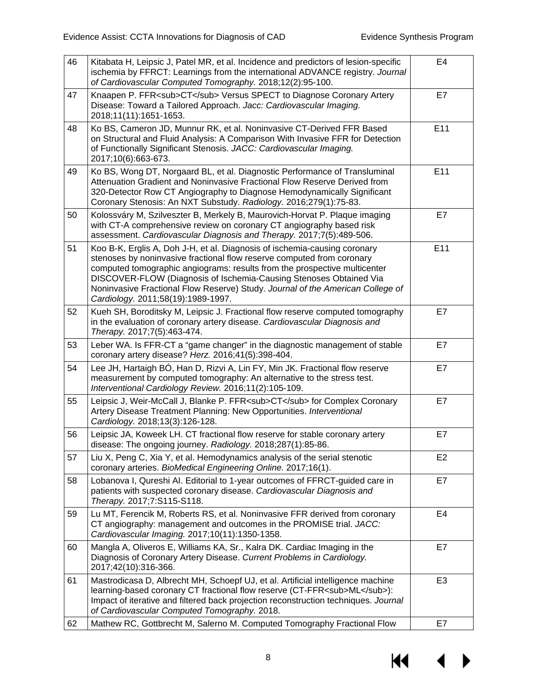| 46 | Kitabata H, Leipsic J, Patel MR, et al. Incidence and predictors of lesion-specific<br>ischemia by FFRCT: Learnings from the international ADVANCE registry. Journal<br>of Cardiovascular Computed Tomography. 2018;12(2):95-100.                                                                                                                                                                                              | E <sub>4</sub> |
|----|--------------------------------------------------------------------------------------------------------------------------------------------------------------------------------------------------------------------------------------------------------------------------------------------------------------------------------------------------------------------------------------------------------------------------------|----------------|
| 47 | Knaapen P. FFR <sub>CT</sub> Versus SPECT to Diagnose Coronary Artery<br>Disease: Toward a Tailored Approach. Jacc: Cardiovascular Imaging.<br>2018;11(11):1651-1653.                                                                                                                                                                                                                                                          | E7             |
| 48 | Ko BS, Cameron JD, Munnur RK, et al. Noninvasive CT-Derived FFR Based<br>on Structural and Fluid Analysis: A Comparison With Invasive FFR for Detection<br>of Functionally Significant Stenosis. JACC: Cardiovascular Imaging.<br>2017;10(6):663-673.                                                                                                                                                                          | E11            |
| 49 | Ko BS, Wong DT, Norgaard BL, et al. Diagnostic Performance of Transluminal<br>Attenuation Gradient and Noninvasive Fractional Flow Reserve Derived from<br>320-Detector Row CT Angiography to Diagnose Hemodynamically Significant<br>Coronary Stenosis: An NXT Substudy. Radiology. 2016;279(1):75-83.                                                                                                                        | E11            |
| 50 | Kolossváry M, Szilveszter B, Merkely B, Maurovich-Horvat P. Plaque imaging<br>with CT-A comprehensive review on coronary CT angiography based risk<br>assessment. Cardiovascular Diagnosis and Therapy. 2017;7(5):489-506.                                                                                                                                                                                                     | E7             |
| 51 | Koo B-K, Erglis A, Doh J-H, et al. Diagnosis of ischemia-causing coronary<br>stenoses by noninvasive fractional flow reserve computed from coronary<br>computed tomographic angiograms: results from the prospective multicenter<br>DISCOVER-FLOW (Diagnosis of Ischemia-Causing Stenoses Obtained Via<br>Noninvasive Fractional Flow Reserve) Study. Journal of the American College of<br>Cardiology. 2011;58(19):1989-1997. | E11            |
| 52 | Kueh SH, Boroditsky M, Leipsic J. Fractional flow reserve computed tomography<br>in the evaluation of coronary artery disease. Cardiovascular Diagnosis and<br>Therapy. 2017;7(5):463-474.                                                                                                                                                                                                                                     | E7             |
| 53 | Leber WA. Is FFR-CT a "game changer" in the diagnostic management of stable<br>coronary artery disease? Herz. 2016;41(5):398-404.                                                                                                                                                                                                                                                                                              | E7             |
| 54 | Lee JH, Hartaigh BÓ, Han D, Rizvi A, Lin FY, Min JK. Fractional flow reserve<br>measurement by computed tomography: An alternative to the stress test.<br>Interventional Cardiology Review. 2016;11(2):105-109.                                                                                                                                                                                                                | E7             |
| 55 | Leipsic J, Weir-McCall J, Blanke P. FFR <sub>CT</sub> for Complex Coronary<br>Artery Disease Treatment Planning: New Opportunities. Interventional<br>Cardiology. 2018;13(3):126-128.                                                                                                                                                                                                                                          | E7             |
| 56 | Leipsic JA, Koweek LH. CT fractional flow reserve for stable coronary artery<br>disease: The ongoing journey. Radiology. 2018;287(1):85-86.                                                                                                                                                                                                                                                                                    | E7             |
| 57 | Liu X, Peng C, Xia Y, et al. Hemodynamics analysis of the serial stenotic<br>coronary arteries. BioMedical Engineering Online. 2017;16(1).                                                                                                                                                                                                                                                                                     | E <sub>2</sub> |
| 58 | Lobanova I, Qureshi AI. Editorial to 1-year outcomes of FFRCT-guided care in<br>patients with suspected coronary disease. Cardiovascular Diagnosis and<br>Therapy. 2017;7:S115-S118.                                                                                                                                                                                                                                           | E7             |
| 59 | Lu MT, Ferencik M, Roberts RS, et al. Noninvasive FFR derived from coronary<br>CT angiography: management and outcomes in the PROMISE trial. JACC:<br>Cardiovascular Imaging. 2017;10(11):1350-1358.                                                                                                                                                                                                                           | E4             |
| 60 | Mangla A, Oliveros E, Williams KA, Sr., Kalra DK. Cardiac Imaging in the<br>Diagnosis of Coronary Artery Disease. Current Problems in Cardiology.<br>2017;42(10):316-366.                                                                                                                                                                                                                                                      | E7             |
| 61 | Mastrodicasa D, Albrecht MH, Schoepf UJ, et al. Artificial intelligence machine<br>learning-based coronary CT fractional flow reserve (CT-FFR <sub>ML</sub> ):<br>Impact of iterative and filtered back projection reconstruction techniques. Journal<br>of Cardiovascular Computed Tomography. 2018.                                                                                                                          | E <sub>3</sub> |
| 62 | Mathew RC, Gottbrecht M, Salerno M. Computed Tomography Fractional Flow                                                                                                                                                                                                                                                                                                                                                        | E7             |

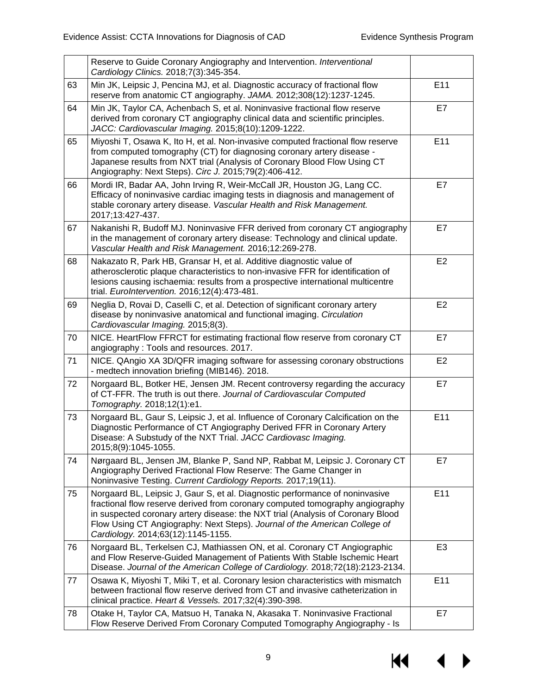|    | Reserve to Guide Coronary Angiography and Intervention. Interventional<br>Cardiology Clinics. 2018;7(3):345-354.                                                                                                                                                                                                                                                     |                |
|----|----------------------------------------------------------------------------------------------------------------------------------------------------------------------------------------------------------------------------------------------------------------------------------------------------------------------------------------------------------------------|----------------|
| 63 | Min JK, Leipsic J, Pencina MJ, et al. Diagnostic accuracy of fractional flow<br>reserve from anatomic CT angiography. JAMA. 2012;308(12):1237-1245.                                                                                                                                                                                                                  | E11            |
| 64 | Min JK, Taylor CA, Achenbach S, et al. Noninvasive fractional flow reserve<br>derived from coronary CT angiography clinical data and scientific principles.<br>JACC: Cardiovascular Imaging. 2015;8(10):1209-1222.                                                                                                                                                   | E7             |
| 65 | Miyoshi T, Osawa K, Ito H, et al. Non-invasive computed fractional flow reserve<br>from computed tomography (CT) for diagnosing coronary artery disease -<br>Japanese results from NXT trial (Analysis of Coronary Blood Flow Using CT<br>Angiography: Next Steps). Circ J. 2015;79(2):406-412.                                                                      | E11            |
| 66 | Mordi IR, Badar AA, John Irving R, Weir-McCall JR, Houston JG, Lang CC.<br>Efficacy of noninvasive cardiac imaging tests in diagnosis and management of<br>stable coronary artery disease. Vascular Health and Risk Management.<br>2017;13:427-437.                                                                                                                  | E7             |
| 67 | Nakanishi R, Budoff MJ. Noninvasive FFR derived from coronary CT angiography<br>in the management of coronary artery disease: Technology and clinical update.<br>Vascular Health and Risk Management. 2016;12:269-278.                                                                                                                                               | E7             |
| 68 | Nakazato R, Park HB, Gransar H, et al. Additive diagnostic value of<br>atherosclerotic plaque characteristics to non-invasive FFR for identification of<br>lesions causing ischaemia: results from a prospective international multicentre<br>trial. EuroIntervention. 2016;12(4):473-481.                                                                           | E <sub>2</sub> |
| 69 | Neglia D, Rovai D, Caselli C, et al. Detection of significant coronary artery<br>disease by noninvasive anatomical and functional imaging. Circulation<br>Cardiovascular Imaging. 2015;8(3).                                                                                                                                                                         | E <sub>2</sub> |
| 70 | NICE. HeartFlow FFRCT for estimating fractional flow reserve from coronary CT<br>angiography: Tools and resources. 2017.                                                                                                                                                                                                                                             | E7             |
| 71 | NICE. QAngio XA 3D/QFR imaging software for assessing coronary obstructions<br>- medtech innovation briefing (MIB146). 2018.                                                                                                                                                                                                                                         | E <sub>2</sub> |
| 72 | Norgaard BL, Botker HE, Jensen JM. Recent controversy regarding the accuracy<br>of CT-FFR. The truth is out there. Journal of Cardiovascular Computed<br>Tomography. 2018;12(1):e1.                                                                                                                                                                                  | E7             |
| 73 | Norgaard BL, Gaur S, Leipsic J, et al. Influence of Coronary Calcification on the<br>Diagnostic Performance of CT Angiography Derived FFR in Coronary Artery<br>Disease: A Substudy of the NXT Trial. JACC Cardiovasc Imaging.<br>2015;8(9):1045-1055.                                                                                                               | E11            |
| 74 | Nørgaard BL, Jensen JM, Blanke P, Sand NP, Rabbat M, Leipsic J. Coronary CT<br>Angiography Derived Fractional Flow Reserve: The Game Changer in<br>Noninvasive Testing. Current Cardiology Reports. 2017;19(11).                                                                                                                                                     | E7             |
| 75 | Norgaard BL, Leipsic J, Gaur S, et al. Diagnostic performance of noninvasive<br>fractional flow reserve derived from coronary computed tomography angiography<br>in suspected coronary artery disease: the NXT trial (Analysis of Coronary Blood<br>Flow Using CT Angiography: Next Steps). Journal of the American College of<br>Cardiology. 2014;63(12):1145-1155. | E11            |
| 76 | Norgaard BL, Terkelsen CJ, Mathiassen ON, et al. Coronary CT Angiographic<br>and Flow Reserve-Guided Management of Patients With Stable Ischemic Heart<br>Disease. Journal of the American College of Cardiology. 2018;72(18):2123-2134.                                                                                                                             | E <sub>3</sub> |
| 77 | Osawa K, Miyoshi T, Miki T, et al. Coronary lesion characteristics with mismatch<br>between fractional flow reserve derived from CT and invasive catheterization in<br>clinical practice. Heart & Vessels. 2017;32(4):390-398.                                                                                                                                       | E11            |
| 78 | Otake H, Taylor CA, Matsuo H, Tanaka N, Akasaka T. Noninvasive Fractional<br>Flow Reserve Derived From Coronary Computed Tomography Angiography - Is                                                                                                                                                                                                                 | E7             |

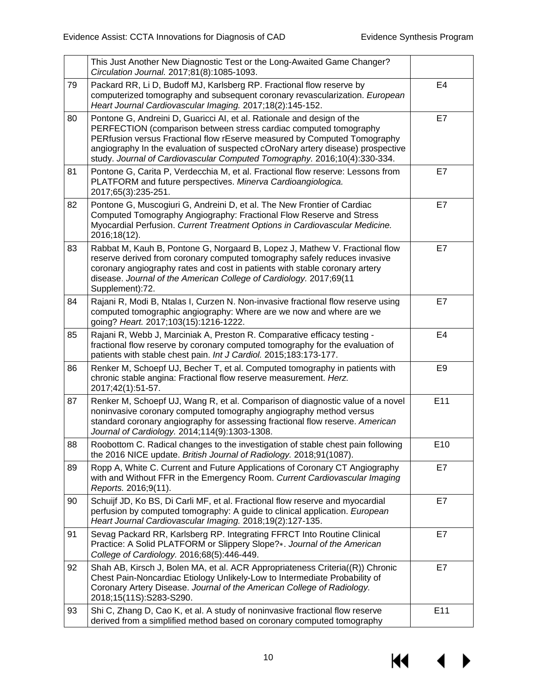|    | This Just Another New Diagnostic Test or the Long-Awaited Game Changer?<br>Circulation Journal. 2017;81(8):1085-1093.                                                                                                                                                                                                                                                                   |                 |
|----|-----------------------------------------------------------------------------------------------------------------------------------------------------------------------------------------------------------------------------------------------------------------------------------------------------------------------------------------------------------------------------------------|-----------------|
| 79 | Packard RR, Li D, Budoff MJ, Karlsberg RP. Fractional flow reserve by<br>computerized tomography and subsequent coronary revascularization. European<br>Heart Journal Cardiovascular Imaging. 2017;18(2):145-152.                                                                                                                                                                       | E4              |
| 80 | Pontone G, Andreini D, Guaricci AI, et al. Rationale and design of the<br>PERFECTION (comparison between stress cardiac computed tomography<br>PERfusion versus Fractional flow rEserve measured by Computed Tomography<br>angiography In the evaluation of suspected cOroNary artery disease) prospective<br>study. Journal of Cardiovascular Computed Tomography. 2016;10(4):330-334. | E7              |
| 81 | Pontone G, Carita P, Verdecchia M, et al. Fractional flow reserve: Lessons from<br>PLATFORM and future perspectives. Minerva Cardioangiologica.<br>2017;65(3):235-251.                                                                                                                                                                                                                  | E7              |
| 82 | Pontone G, Muscogiuri G, Andreini D, et al. The New Frontier of Cardiac<br>Computed Tomography Angiography: Fractional Flow Reserve and Stress<br>Myocardial Perfusion. Current Treatment Options in Cardiovascular Medicine.<br>2016;18(12).                                                                                                                                           | E7              |
| 83 | Rabbat M, Kauh B, Pontone G, Norgaard B, Lopez J, Mathew V. Fractional flow<br>reserve derived from coronary computed tomography safely reduces invasive<br>coronary angiography rates and cost in patients with stable coronary artery<br>disease. Journal of the American College of Cardiology. 2017;69(11<br>Supplement):72.                                                        | E7              |
| 84 | Rajani R, Modi B, Ntalas I, Curzen N. Non-invasive fractional flow reserve using<br>computed tomographic angiography: Where are we now and where are we<br>going? Heart. 2017;103(15):1216-1222.                                                                                                                                                                                        | E7              |
| 85 | Rajani R, Webb J, Marciniak A, Preston R. Comparative efficacy testing -<br>fractional flow reserve by coronary computed tomography for the evaluation of<br>patients with stable chest pain. Int J Cardiol. 2015;183:173-177.                                                                                                                                                          | E4              |
| 86 | Renker M, Schoepf UJ, Becher T, et al. Computed tomography in patients with<br>chronic stable angina: Fractional flow reserve measurement. Herz.<br>2017;42(1):51-57.                                                                                                                                                                                                                   | E <sub>9</sub>  |
| 87 | Renker M, Schoepf UJ, Wang R, et al. Comparison of diagnostic value of a novel<br>noninvasive coronary computed tomography angiography method versus<br>standard coronary angiography for assessing fractional flow reserve. American<br>Journal of Cardiology. 2014;114(9):1303-1308.                                                                                                  | E11             |
| 88 | Roobottom C. Radical changes to the investigation of stable chest pain following<br>the 2016 NICE update. British Journal of Radiology. 2018;91(1087).                                                                                                                                                                                                                                  | E <sub>10</sub> |
| 89 | Ropp A, White C. Current and Future Applications of Coronary CT Angiography<br>with and Without FFR in the Emergency Room. Current Cardiovascular Imaging<br>Reports. 2016;9(11).                                                                                                                                                                                                       | E7              |
| 90 | Schuijf JD, Ko BS, Di Carli MF, et al. Fractional flow reserve and myocardial<br>perfusion by computed tomography: A guide to clinical application. European<br>Heart Journal Cardiovascular Imaging. 2018;19(2):127-135.                                                                                                                                                               | E7              |
| 91 | Sevag Packard RR, Karlsberg RP. Integrating FFRCT Into Routine Clinical<br>Practice: A Solid PLATFORM or Slippery Slope?*. Journal of the American<br>College of Cardiology. 2016;68(5):446-449.                                                                                                                                                                                        | E7              |
| 92 | Shah AB, Kirsch J, Bolen MA, et al. ACR Appropriateness Criteria((R)) Chronic<br>Chest Pain-Noncardiac Etiology Unlikely-Low to Intermediate Probability of<br>Coronary Artery Disease. Journal of the American College of Radiology.<br>2018;15(11S):S283-S290.                                                                                                                        | E7              |
| 93 | Shi C, Zhang D, Cao K, et al. A study of noninvasive fractional flow reserve<br>derived from a simplified method based on coronary computed tomography                                                                                                                                                                                                                                  | E11             |

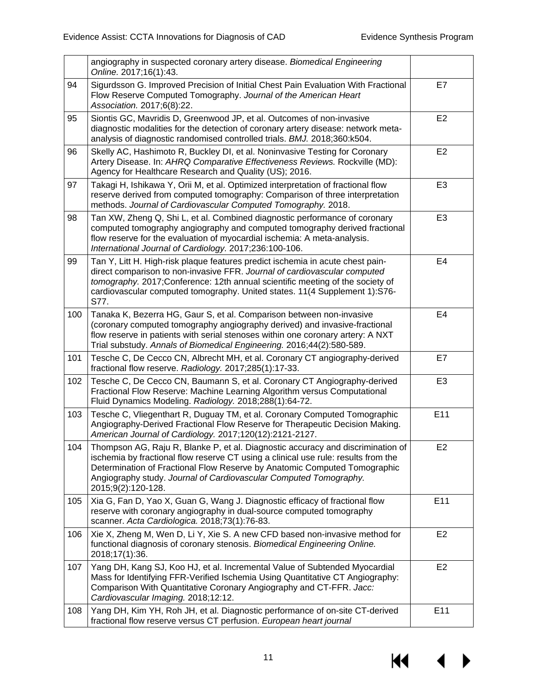|     | angiography in suspected coronary artery disease. Biomedical Engineering<br>Online. 2017;16(1):43.                                                                                                                                                                                                                                            |                |
|-----|-----------------------------------------------------------------------------------------------------------------------------------------------------------------------------------------------------------------------------------------------------------------------------------------------------------------------------------------------|----------------|
| 94  | Sigurdsson G. Improved Precision of Initial Chest Pain Evaluation With Fractional<br>Flow Reserve Computed Tomography. Journal of the American Heart<br>Association. 2017;6(8):22.                                                                                                                                                            | E7             |
| 95  | Siontis GC, Mavridis D, Greenwood JP, et al. Outcomes of non-invasive<br>diagnostic modalities for the detection of coronary artery disease: network meta-<br>analysis of diagnostic randomised controlled trials. BMJ. 2018;360:k504.                                                                                                        | E <sub>2</sub> |
| 96  | Skelly AC, Hashimoto R, Buckley DI, et al. Noninvasive Testing for Coronary<br>Artery Disease. In: AHRQ Comparative Effectiveness Reviews. Rockville (MD):<br>Agency for Healthcare Research and Quality (US); 2016.                                                                                                                          | E <sub>2</sub> |
| 97  | Takagi H, Ishikawa Y, Orii M, et al. Optimized interpretation of fractional flow<br>reserve derived from computed tomography: Comparison of three interpretation<br>methods. Journal of Cardiovascular Computed Tomography. 2018.                                                                                                             | E <sub>3</sub> |
| 98  | Tan XW, Zheng Q, Shi L, et al. Combined diagnostic performance of coronary<br>computed tomography angiography and computed tomography derived fractional<br>flow reserve for the evaluation of myocardial ischemia: A meta-analysis.<br>International Journal of Cardiology. 2017;236:100-106.                                                | E <sub>3</sub> |
| 99  | Tan Y, Litt H. High-risk plaque features predict ischemia in acute chest pain-<br>direct comparison to non-invasive FFR. Journal of cardiovascular computed<br>tomography. 2017; Conference: 12th annual scientific meeting of the society of<br>cardiovascular computed tomography. United states. 11(4 Supplement 1):S76-<br>S77.           | E <sub>4</sub> |
| 100 | Tanaka K, Bezerra HG, Gaur S, et al. Comparison between non-invasive<br>(coronary computed tomography angiography derived) and invasive-fractional<br>flow reserve in patients with serial stenoses within one coronary artery: A NXT<br>Trial substudy. Annals of Biomedical Engineering. 2016;44(2):580-589.                                | E <sub>4</sub> |
| 101 | Tesche C, De Cecco CN, Albrecht MH, et al. Coronary CT angiography-derived<br>fractional flow reserve. Radiology. 2017;285(1):17-33.                                                                                                                                                                                                          | E7             |
| 102 | Tesche C, De Cecco CN, Baumann S, et al. Coronary CT Angiography-derived<br>Fractional Flow Reserve: Machine Learning Algorithm versus Computational<br>Fluid Dynamics Modeling. Radiology. 2018;288(1):64-72.                                                                                                                                | E <sub>3</sub> |
| 103 | Tesche C, Vliegenthart R, Duguay TM, et al. Coronary Computed Tomographic<br>Angiography-Derived Fractional Flow Reserve for Therapeutic Decision Making.<br>American Journal of Cardiology. 2017;120(12):2121-2127.                                                                                                                          | E11            |
| 104 | Thompson AG, Raju R, Blanke P, et al. Diagnostic accuracy and discrimination of<br>ischemia by fractional flow reserve CT using a clinical use rule: results from the<br>Determination of Fractional Flow Reserve by Anatomic Computed Tomographic<br>Angiography study. Journal of Cardiovascular Computed Tomography.<br>2015;9(2):120-128. | E <sub>2</sub> |
| 105 | Xia G, Fan D, Yao X, Guan G, Wang J. Diagnostic efficacy of fractional flow<br>reserve with coronary angiography in dual-source computed tomography<br>scanner. Acta Cardiologica. 2018;73(1):76-83.                                                                                                                                          | E11            |
| 106 | Xie X, Zheng M, Wen D, Li Y, Xie S. A new CFD based non-invasive method for<br>functional diagnosis of coronary stenosis. Biomedical Engineering Online.<br>2018;17(1):36.                                                                                                                                                                    | E <sub>2</sub> |
| 107 | Yang DH, Kang SJ, Koo HJ, et al. Incremental Value of Subtended Myocardial<br>Mass for Identifying FFR-Verified Ischemia Using Quantitative CT Angiography:<br>Comparison With Quantitative Coronary Angiography and CT-FFR. Jacc:<br>Cardiovascular Imaging. 2018;12:12.                                                                     | E <sub>2</sub> |
| 108 | Yang DH, Kim YH, Roh JH, et al. Diagnostic performance of on-site CT-derived<br>fractional flow reserve versus CT perfusion. European heart journal                                                                                                                                                                                           | E11            |

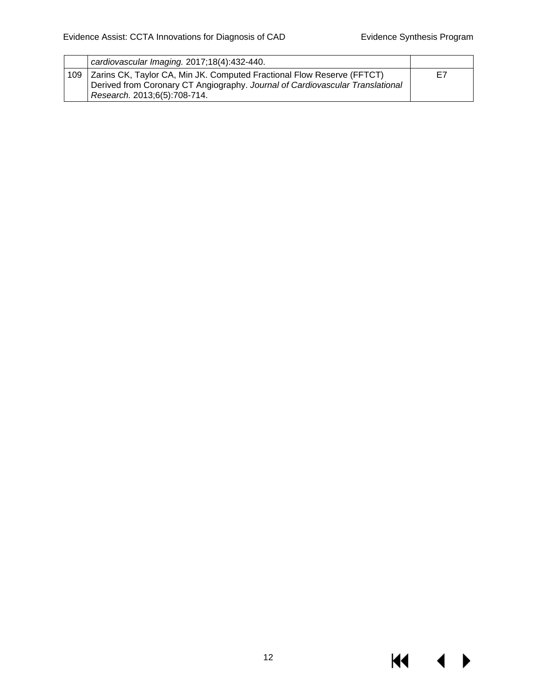|     | cardiovascular Imaging. 2017;18(4):432-440.                                                                                                                                             |    |
|-----|-----------------------------------------------------------------------------------------------------------------------------------------------------------------------------------------|----|
| 109 | Zarins CK, Taylor CA, Min JK. Computed Fractional Flow Reserve (FFTCT)<br>Derived from Coronary CT Angiography. Journal of Cardiovascular Translational<br>Research. 2013;6(5):708-714. | E7 |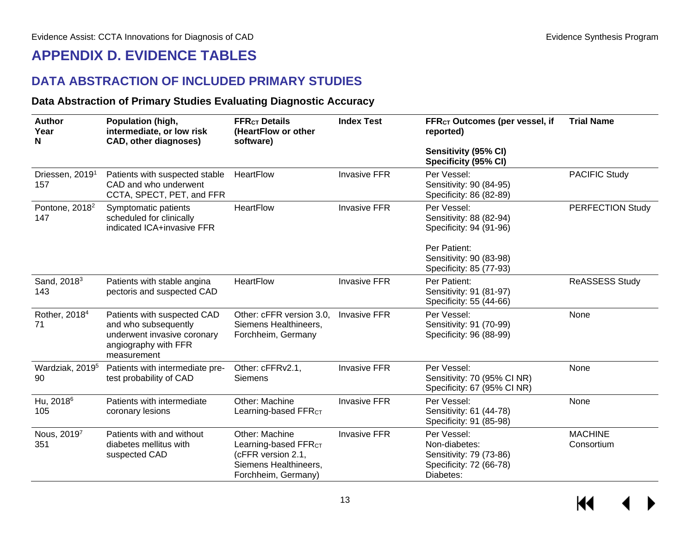### **APPENDIX D. EVIDENCE TABLES**

### **DATA ABSTRACTION OF INCLUDED PRIMARY STUDIES**

#### **Data Abstraction of Primary Studies Evaluating Diagnostic Accuracy**

<span id="page-14-2"></span><span id="page-14-1"></span><span id="page-14-0"></span>

| <b>Author</b><br>Population (high,<br>intermediate, or low risk<br>Year<br><b>CAD, other diagnoses)</b><br>N |                                                                                                                           | <b>Index Test</b><br><b>FFR<sub>ct</sub></b> Details<br>(HeartFlow or other<br>software)                                 |                     | FFR <sub>CT</sub> Outcomes (per vessel, if<br>reported)                                         | <b>Trial Name</b>            |
|--------------------------------------------------------------------------------------------------------------|---------------------------------------------------------------------------------------------------------------------------|--------------------------------------------------------------------------------------------------------------------------|---------------------|-------------------------------------------------------------------------------------------------|------------------------------|
|                                                                                                              |                                                                                                                           |                                                                                                                          |                     | Sensitivity (95% CI)<br>Specificity (95% CI)                                                    |                              |
| Driessen, 2019 <sup>1</sup><br>157                                                                           | Patients with suspected stable<br>CAD and who underwent<br>CCTA, SPECT, PET, and FFR                                      | HeartFlow                                                                                                                | <b>Invasive FFR</b> | Per Vessel:<br>Sensitivity: 90 (84-95)<br>Specificity: 86 (82-89)                               | <b>PACIFIC Study</b>         |
| Pontone, 2018 <sup>2</sup><br>147                                                                            | Symptomatic patients<br>scheduled for clinically<br>indicated ICA+invasive FFR                                            | <b>HeartFlow</b>                                                                                                         | <b>Invasive FFR</b> | Per Vessel:<br>Sensitivity: 88 (82-94)<br>Specificity: 94 (91-96)                               | PERFECTION Study             |
|                                                                                                              |                                                                                                                           |                                                                                                                          |                     | Per Patient:<br>Sensitivity: 90 (83-98)<br>Specificity: 85 (77-93)                              |                              |
| Sand, 2018 <sup>3</sup><br>143                                                                               | Patients with stable angina<br>pectoris and suspected CAD                                                                 | HeartFlow                                                                                                                | <b>Invasive FFR</b> | Per Patient:<br>Sensitivity: 91 (81-97)<br>Specificity: 55 (44-66)                              | <b>ReASSESS Study</b>        |
| Rother, 2018 <sup>4</sup><br>71                                                                              | Patients with suspected CAD<br>and who subsequently<br>underwent invasive coronary<br>angiography with FFR<br>measurement | Other: cFFR version 3.0,<br>Siemens Healthineers,<br>Forchheim, Germany                                                  | <b>Invasive FFR</b> | Per Vessel:<br>Sensitivity: 91 (70-99)<br>Specificity: 96 (88-99)                               | None                         |
| Wardziak, 2019 <sup>5</sup><br>90                                                                            | Patients with intermediate pre-<br>test probability of CAD                                                                | Other: cFFRv2.1,<br><b>Siemens</b>                                                                                       | <b>Invasive FFR</b> | Per Vessel:<br>Sensitivity: 70 (95% CI NR)<br>Specificity: 67 (95% CI NR)                       | None                         |
| Hu, 2018 <sup>6</sup><br>105                                                                                 | Patients with intermediate<br>coronary lesions                                                                            | Other: Machine<br>Learning-based FFR <sub>CT</sub>                                                                       | <b>Invasive FFR</b> | Per Vessel:<br>Sensitivity: 61 (44-78)<br>Specificity: 91 (85-98)                               | None                         |
| Nous, 20197<br>351                                                                                           | Patients with and without<br>diabetes mellitus with<br>suspected CAD                                                      | Other: Machine<br>Learning-based FFR <sub>CT</sub><br>(cFFR version 2.1,<br>Siemens Healthineers,<br>Forchheim, Germany) | <b>Invasive FFR</b> | Per Vessel:<br>Non-diabetes:<br>Sensitivity: 79 (73-86)<br>Specificity: 72 (66-78)<br>Diabetes: | <b>MACHINE</b><br>Consortium |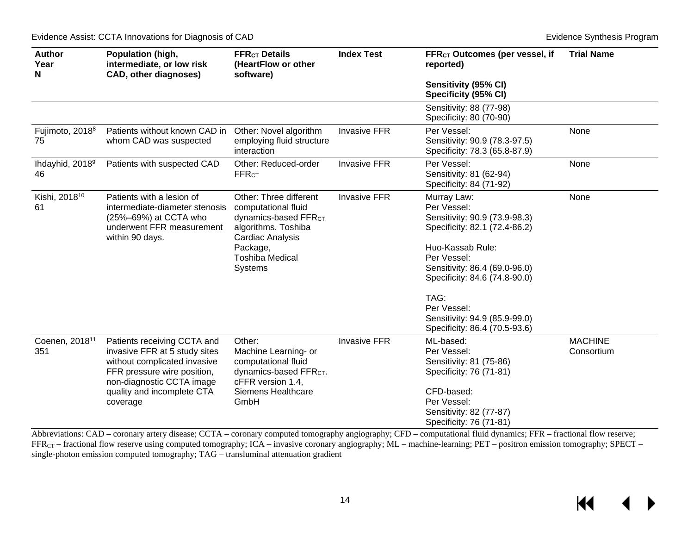| <b>Author</b><br>Year<br>N        | Population (high,<br>intermediate, or low risk<br><b>CAD, other diagnoses)</b>                                                                                                                     | <b>Index Test</b><br><b>FFR<sub>CT</sub></b> Details<br>(HeartFlow or other<br>software)                                                                                      |                     | FFR <sub>CT</sub> Outcomes (per vessel, if<br>reported)                                                                                                                                                                                                                                    | <b>Trial Name</b>            |
|-----------------------------------|----------------------------------------------------------------------------------------------------------------------------------------------------------------------------------------------------|-------------------------------------------------------------------------------------------------------------------------------------------------------------------------------|---------------------|--------------------------------------------------------------------------------------------------------------------------------------------------------------------------------------------------------------------------------------------------------------------------------------------|------------------------------|
|                                   |                                                                                                                                                                                                    |                                                                                                                                                                               |                     | Sensitivity (95% CI)<br>Specificity (95% CI)                                                                                                                                                                                                                                               |                              |
|                                   |                                                                                                                                                                                                    |                                                                                                                                                                               |                     | Sensitivity: 88 (77-98)<br>Specificity: 80 (70-90)                                                                                                                                                                                                                                         |                              |
| Fujimoto, 2018 <sup>8</sup><br>75 | Patients without known CAD in<br>whom CAD was suspected                                                                                                                                            | Other: Novel algorithm<br>employing fluid structure<br>interaction                                                                                                            | <b>Invasive FFR</b> | Per Vessel:<br>Sensitivity: 90.9 (78.3-97.5)<br>Specificity: 78.3 (65.8-87.9)                                                                                                                                                                                                              | None                         |
| Ihdayhid, 2018 <sup>9</sup><br>46 | Patients with suspected CAD                                                                                                                                                                        | Other: Reduced-order<br><b>FFRCT</b>                                                                                                                                          | <b>Invasive FFR</b> | Per Vessel:<br>Sensitivity: 81 (62-94)<br>Specificity: 84 (71-92)                                                                                                                                                                                                                          | None                         |
| Kishi, 2018 <sup>10</sup><br>61   | Patients with a lesion of<br>intermediate-diameter stenosis<br>(25%-69%) at CCTA who<br>underwent FFR measurement<br>within 90 days.                                                               | Other: Three different<br>computational fluid<br>dynamics-based FFR <sub>CT</sub><br>algorithms. Toshiba<br>Cardiac Analysis<br>Package,<br>Toshiba Medical<br><b>Systems</b> | <b>Invasive FFR</b> | Murray Law:<br>Per Vessel:<br>Sensitivity: 90.9 (73.9-98.3)<br>Specificity: 82.1 (72.4-86.2)<br>Huo-Kassab Rule:<br>Per Vessel:<br>Sensitivity: 86.4 (69.0-96.0)<br>Specificity: 84.6 (74.8-90.0)<br>TAG:<br>Per Vessel:<br>Sensitivity: 94.9 (85.9-99.0)<br>Specificity: 86.4 (70.5-93.6) | None                         |
| Coenen, 2018 <sup>11</sup><br>351 | Patients receiving CCTA and<br>invasive FFR at 5 study sites<br>without complicated invasive<br>FFR pressure wire position,<br>non-diagnostic CCTA image<br>quality and incomplete CTA<br>coverage | Other:<br>Machine Learning- or<br>computational fluid<br>dynamics-based FFR <sub>CT</sub> .<br>cFFR version 1.4,<br><b>Siemens Healthcare</b><br>GmbH                         | <b>Invasive FFR</b> | ML-based:<br>Per Vessel:<br>Sensitivity: 81 (75-86)<br>Specificity: 76 (71-81)<br>CFD-based:<br>Per Vessel:<br>Sensitivity: 82 (77-87)<br>Specificity: 76 (71-81)                                                                                                                          | <b>MACHINE</b><br>Consortium |

Abbreviations: CAD – coronary artery disease; CCTA – coronary computed tomography angiography; CFD – computational fluid dynamics; FFR – fractional flow reserve; FFR<sub>CT</sub> – fractional flow reserve using computed tomography; ICA – invasive coronary angiography; ML – machine-learning; PET – positron emission tomography; SPECT – single-photon emission computed tomography; TAG – transluminal attenuation gradient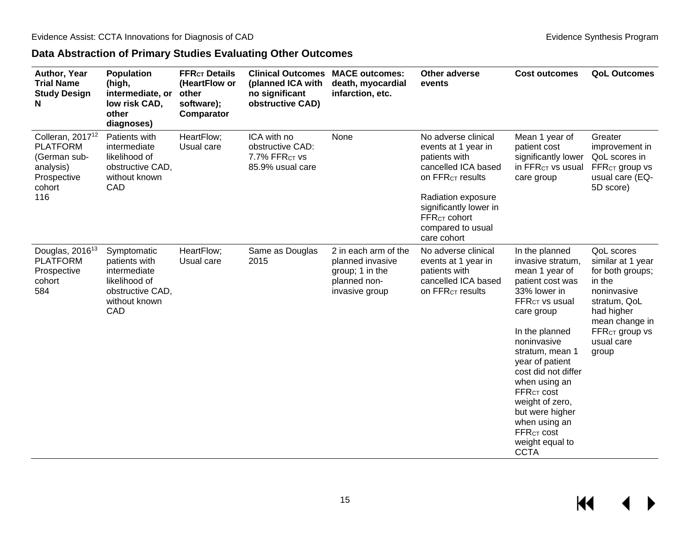### **Data Abstraction of Primary Studies Evaluating Other Outcomes**

<span id="page-16-0"></span>

| Author, Year<br><b>Trial Name</b><br><b>Study Design</b><br>N                                                | <b>Population</b><br>(high,<br>intermediate, or<br>low risk CAD,<br>other<br>diagnoses)                   | <b>FFR<sub>CT</sub></b> Details<br>(HeartFlow or<br>other<br>software);<br>Comparator | <b>Clinical Outcomes</b><br>(planned ICA with<br>no significant<br>obstructive CAD) | <b>MACE outcomes:</b><br>death, myocardial<br>infarction, etc.                                | <b>Other adverse</b><br>events                                                                                                                                                                                                     | <b>Cost outcomes</b>                                                                                                                                                                                                                                                                                                                                                                    | <b>QoL Outcomes</b>                                                                                                                                                                      |
|--------------------------------------------------------------------------------------------------------------|-----------------------------------------------------------------------------------------------------------|---------------------------------------------------------------------------------------|-------------------------------------------------------------------------------------|-----------------------------------------------------------------------------------------------|------------------------------------------------------------------------------------------------------------------------------------------------------------------------------------------------------------------------------------|-----------------------------------------------------------------------------------------------------------------------------------------------------------------------------------------------------------------------------------------------------------------------------------------------------------------------------------------------------------------------------------------|------------------------------------------------------------------------------------------------------------------------------------------------------------------------------------------|
| Colleran, 2017 <sup>12</sup><br><b>PLATFORM</b><br>(German sub-<br>analysis)<br>Prospective<br>cohort<br>116 | Patients with<br>intermediate<br>likelihood of<br>obstructive CAD,<br>without known<br>CAD                | HeartFlow;<br>Usual care                                                              | ICA with no<br>obstructive CAD:<br>7.7% FFRCT VS<br>85.9% usual care                | None                                                                                          | No adverse clinical<br>events at 1 year in<br>patients with<br>cancelled ICA based<br>On FFR <sub>CT</sub> results<br>Radiation exposure<br>significantly lower in<br>FFR <sub>CT</sub> cohort<br>compared to usual<br>care cohort | Mean 1 year of<br>patient cost<br>significantly lower<br>in FFR <sub>CT</sub> vs usual<br>care group                                                                                                                                                                                                                                                                                    | Greater<br>improvement in<br>QoL scores in<br>FFR <sub>CT</sub> group vs<br>usual care (EQ-<br>5D score)                                                                                 |
| Douglas, 2016 <sup>13</sup><br><b>PLATFORM</b><br>Prospective<br>cohort<br>584                               | Symptomatic<br>patients with<br>intermediate<br>likelihood of<br>obstructive CAD,<br>without known<br>CAD | HeartFlow;<br>Usual care                                                              | Same as Douglas<br>2015                                                             | 2 in each arm of the<br>planned invasive<br>group; 1 in the<br>planned non-<br>invasive group | No adverse clinical<br>events at 1 year in<br>patients with<br>cancelled ICA based<br>on FFR <sub>CT</sub> results                                                                                                                 | In the planned<br>invasive stratum,<br>mean 1 year of<br>patient cost was<br>33% lower in<br><b>FFRCT VS usual</b><br>care group<br>In the planned<br>noninvasive<br>stratum, mean 1<br>year of patient<br>cost did not differ<br>when using an<br>FFR <sub>CT</sub> cost<br>weight of zero,<br>but were higher<br>when using an<br><b>FFRCT COSt</b><br>weight equal to<br><b>CCTA</b> | <b>QoL</b> scores<br>similar at 1 year<br>for both groups;<br>in the<br>noninvasive<br>stratum, QoL<br>had higher<br>mean change in<br>FFR <sub>CT</sub> group vs<br>usual care<br>group |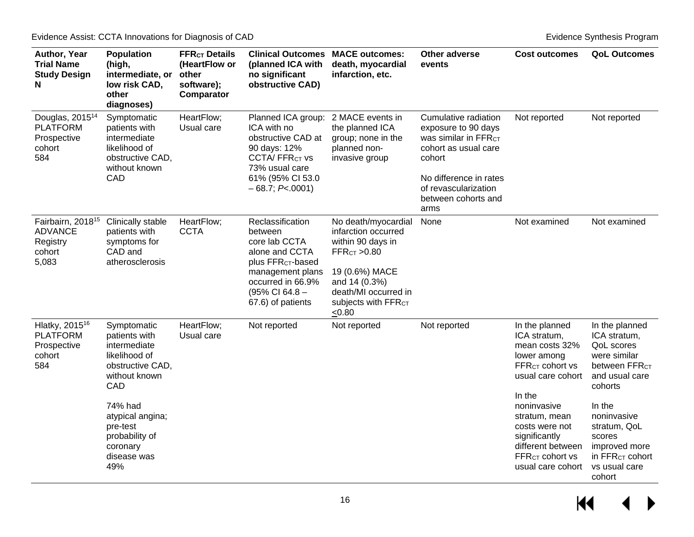| Author, Year<br><b>Trial Name</b><br><b>Study Design</b><br>N                  | <b>Population</b><br>(high,<br>intermediate, or<br>low risk CAD,<br>other<br>diagnoses)                                                                                                                  | <b>FFR<sub>CT</sub></b> Details<br>(HeartFlow or<br>other<br>software);<br>Comparator | <b>Clinical Outcomes</b><br>(planned ICA with<br>no significant<br>obstructive CAD)                                                                                             | <b>MACE outcomes:</b><br>death, myocardial<br>infarction, etc.                                                                                                                          | <b>Other adverse</b><br>events                                                                                                                                                                     | <b>Cost outcomes</b>                                                                                                                                                                                                                                                      | <b>QoL Outcomes</b>                                                                                                                                                                                                                                         |
|--------------------------------------------------------------------------------|----------------------------------------------------------------------------------------------------------------------------------------------------------------------------------------------------------|---------------------------------------------------------------------------------------|---------------------------------------------------------------------------------------------------------------------------------------------------------------------------------|-----------------------------------------------------------------------------------------------------------------------------------------------------------------------------------------|----------------------------------------------------------------------------------------------------------------------------------------------------------------------------------------------------|---------------------------------------------------------------------------------------------------------------------------------------------------------------------------------------------------------------------------------------------------------------------------|-------------------------------------------------------------------------------------------------------------------------------------------------------------------------------------------------------------------------------------------------------------|
| Douglas, 2015 <sup>14</sup><br><b>PLATFORM</b><br>Prospective<br>cohort<br>584 | Symptomatic<br>patients with<br>intermediate<br>likelihood of<br>obstructive CAD,<br>without known<br>CAD                                                                                                | HeartFlow;<br>Usual care                                                              | Planned ICA group:<br>ICA with no<br>obstructive CAD at<br>90 days: 12%<br><b>CCTA/FFRCTVS</b><br>73% usual care<br>61% (95% CI 53.0<br>$-68.7; P<.0001$                        | 2 MACE events in<br>the planned ICA<br>group; none in the<br>planned non-<br>invasive group                                                                                             | Cumulative radiation<br>exposure to 90 days<br>Was similar in FFR <sub>CT</sub><br>cohort as usual care<br>cohort<br>No difference in rates<br>of revascularization<br>between cohorts and<br>arms | Not reported                                                                                                                                                                                                                                                              | Not reported                                                                                                                                                                                                                                                |
| Fairbairn, 2018 <sup>15</sup><br><b>ADVANCE</b><br>Registry<br>cohort<br>5,083 | Clinically stable<br>patients with<br>symptoms for<br>CAD and<br>atherosclerosis                                                                                                                         | HeartFlow;<br><b>CCTA</b>                                                             | Reclassification<br>between<br>core lab CCTA<br>alone and CCTA<br>plus FFR <sub>CT</sub> -based<br>management plans<br>occurred in 66.9%<br>(95% CI 64.8 -<br>67.6) of patients | No death/myocardial<br>infarction occurred<br>within 90 days in<br>FFRcr > 0.80<br>19 (0.6%) MACE<br>and 14 (0.3%)<br>death/MI occurred in<br>Subjects with FFR <sub>CT</sub><br>< 0.80 | None                                                                                                                                                                                               | Not examined                                                                                                                                                                                                                                                              | Not examined                                                                                                                                                                                                                                                |
| Hlatky, 2015 <sup>16</sup><br><b>PLATFORM</b><br>Prospective<br>cohort<br>584  | Symptomatic<br>patients with<br>intermediate<br>likelihood of<br>obstructive CAD,<br>without known<br>CAD<br>74% had<br>atypical angina;<br>pre-test<br>probability of<br>coronary<br>disease was<br>49% | HeartFlow;<br>Usual care                                                              | Not reported                                                                                                                                                                    | Not reported                                                                                                                                                                            | Not reported                                                                                                                                                                                       | In the planned<br>ICA stratum,<br>mean costs 32%<br>lower among<br>FFR <sub>CT</sub> cohort vs<br>usual care cohort<br>In the<br>noninvasive<br>stratum, mean<br>costs were not<br>significantly<br>different between<br>FFR <sub>CT</sub> cohort vs<br>usual care cohort | In the planned<br>ICA stratum,<br><b>QoL</b> scores<br>were similar<br>between FFR <sub>CT</sub><br>and usual care<br>cohorts<br>In the<br>noninvasive<br>stratum, QoL<br>scores<br>improved more<br>in FFR <sub>CT</sub> cohort<br>vs usual care<br>cohort |

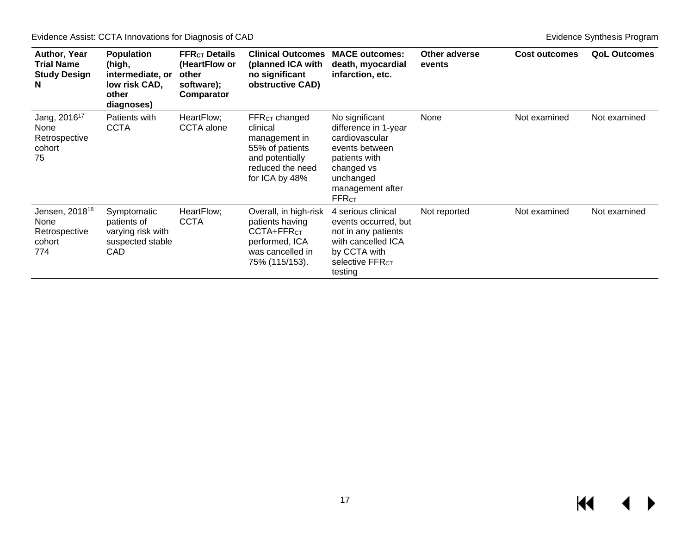Evidence Assist: CCTA Innovations for Diagnosis of CAD **Evidence** Synthesis Program **Evidence Synthesis Program** 

| Author, Year<br>Trial Name<br><b>Study Design</b><br>N                   | <b>Population</b><br>(high,<br>intermediate, or<br>low risk CAD,<br>other<br>diagnoses) | <b>FFR<sub>CT</sub></b> Details<br>(HeartFlow or<br>other<br>software);<br>Comparator | <b>Clinical Outcomes</b><br>(planned ICA with<br>no significant<br>obstructive CAD)                                        | <b>MACE outcomes:</b><br>death, myocardial<br>infarction, etc.                                                                                             | Other adverse<br>events | <b>Cost outcomes</b> | <b>QoL Outcomes</b> |
|--------------------------------------------------------------------------|-----------------------------------------------------------------------------------------|---------------------------------------------------------------------------------------|----------------------------------------------------------------------------------------------------------------------------|------------------------------------------------------------------------------------------------------------------------------------------------------------|-------------------------|----------------------|---------------------|
| Jang, 2016 <sup>17</sup><br><b>None</b><br>Retrospective<br>cohort<br>75 | Patients with<br><b>CCTA</b>                                                            | HeartFlow;<br>CCTA alone                                                              | $FFRCT$ changed<br>clinical<br>management in<br>55% of patients<br>and potentially<br>reduced the need<br>for ICA by 48%   | No significant<br>difference in 1-year<br>cardiovascular<br>events between<br>patients with<br>changed vs<br>unchanged<br>management after<br><b>FFRCT</b> | None                    | Not examined         | Not examined        |
| Jensen, 2018 <sup>18</sup><br>None<br>Retrospective<br>cohort<br>774     | Symptomatic<br>patients of<br>varying risk with<br>suspected stable<br>CAD              | HeartFlow;<br><b>CCTA</b>                                                             | Overall, in high-risk<br>patients having<br>CCTA+FFR <sub>CT</sub><br>performed, ICA<br>was cancelled in<br>75% (115/153). | 4 serious clinical<br>events occurred, but<br>not in any patients<br>with cancelled ICA<br>by CCTA with<br><b>selective FFRcT</b><br>testing               | Not reported            | Not examined         | Not examined        |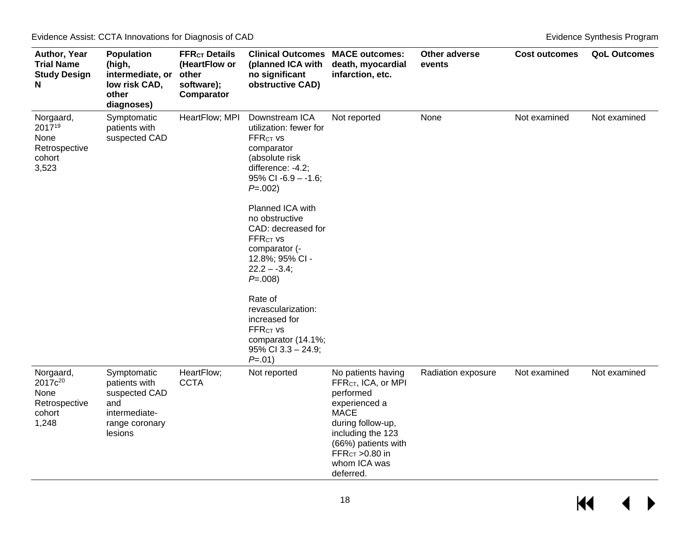| Author, Year<br><b>Trial Name</b><br><b>Study Design</b><br>N                | <b>Population</b><br>(high,<br>intermediate, or<br>low risk CAD,<br>other<br>diagnoses)            | <b>FFR<sub>CT</sub></b> Details<br>(HeartFlow or<br>other<br>software);<br>Comparator | <b>Clinical Outcomes MACE outcomes:</b><br>(planned ICA with<br>no significant<br>obstructive CAD)                                                                                             | death, myocardial<br>infarction, etc.                                                                                                                                                                                 | Other adverse<br>events | <b>Cost outcomes</b> | <b>QoL Outcomes</b> |
|------------------------------------------------------------------------------|----------------------------------------------------------------------------------------------------|---------------------------------------------------------------------------------------|------------------------------------------------------------------------------------------------------------------------------------------------------------------------------------------------|-----------------------------------------------------------------------------------------------------------------------------------------------------------------------------------------------------------------------|-------------------------|----------------------|---------------------|
| Norgaard,<br>201719<br>None<br>Retrospective<br>cohort<br>3,523              | Symptomatic<br>patients with<br>suspected CAD                                                      | HeartFlow; MPI                                                                        | Downstream ICA<br>utilization: fewer for<br><b>FFRCT VS</b><br>comparator<br>(absolute risk<br>difference: -4.2;<br>$95\%$ CI -6.9 - -1.6;<br>$P = .002$<br>Planned ICA with<br>no obstructive | Not reported                                                                                                                                                                                                          | None                    | Not examined         | Not examined        |
|                                                                              |                                                                                                    |                                                                                       | CAD: decreased for<br>FFR <sub>CT</sub> vs<br>comparator (-<br>12.8%; 95% CI -<br>$22.2 - -3.4$ ;<br>$P = .008$                                                                                |                                                                                                                                                                                                                       |                         |                      |                     |
|                                                                              |                                                                                                    |                                                                                       | Rate of<br>revascularization:<br>increased for<br><b>FFRCT VS</b><br>comparator (14.1%;<br>$95\%$ CI 3.3 - 24.9;<br>$P = .01$                                                                  |                                                                                                                                                                                                                       |                         |                      |                     |
| Norgaard,<br>2017c <sup>20</sup><br>None<br>Retrospective<br>cohort<br>1,248 | Symptomatic<br>patients with<br>suspected CAD<br>and<br>intermediate-<br>range coronary<br>lesions | HeartFlow;<br><b>CCTA</b>                                                             | Not reported                                                                                                                                                                                   | No patients having<br>FFR <sub>CT</sub> , ICA, or MPI<br>performed<br>experienced a<br><b>MACE</b><br>during follow-up,<br>including the 123<br>(66%) patients with<br>$FFRCT > 0.80$ in<br>whom ICA was<br>deferred. | Radiation exposure      | Not examined         | Not examined        |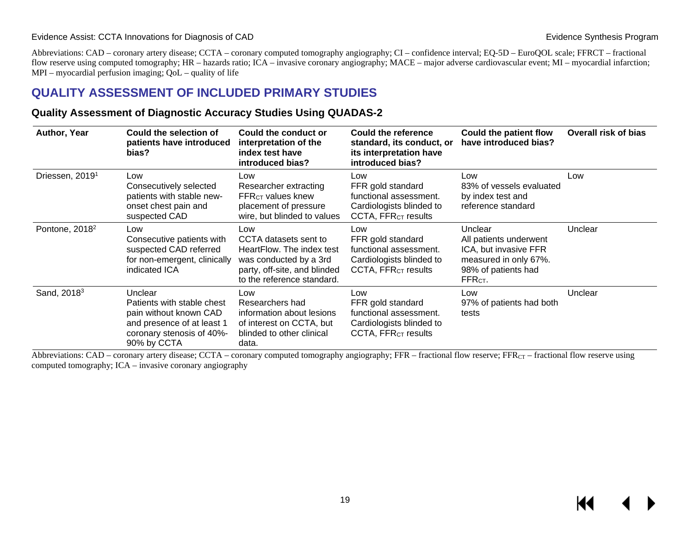#### Evidence Assist: CCTA Innovations for Diagnosis of CAD **Evidence** Synthesis Program **Evidence** Synthesis Program

Abbreviations: CAD – coronary artery disease; CCTA – coronary computed tomography angiography; CI – confidence interval; EQ-5D – EuroQOL scale; FFRCT – fractional flow reserve using computed tomography; HR – hazards ratio; ICA – invasive coronary angiography; MACE – major adverse cardiovascular event; MI – myocardial infarction; MPI – myocardial perfusion imaging; QoL – quality of life

### **QUALITY ASSESSMENT OF INCLUDED PRIMARY STUDIES**

#### **Quality Assessment of Diagnostic Accuracy Studies Using QUADAS-2**

| Author, Year                | Could the selection of<br>patients have introduced<br>bias?                                                                               | Could the conduct or<br>interpretation of the<br>index test have<br>introduced bias?                                                              | Could the reference<br>standard, its conduct, or<br>its interpretation have<br>introduced bias?                   | <b>Could the patient flow</b><br>have introduced bias?                                                                            | <b>Overall risk of bias</b> |
|-----------------------------|-------------------------------------------------------------------------------------------------------------------------------------------|---------------------------------------------------------------------------------------------------------------------------------------------------|-------------------------------------------------------------------------------------------------------------------|-----------------------------------------------------------------------------------------------------------------------------------|-----------------------------|
| Driessen, 2019 <sup>1</sup> | Low<br>Consecutively selected<br>patients with stable new-<br>onset chest pain and<br>suspected CAD                                       | Low<br>Researcher extracting<br><b>FFR<sub>CT</sub></b> values knew<br>placement of pressure<br>wire, but blinded to values                       | Low<br>FFR gold standard<br>functional assessment.<br>Cardiologists blinded to<br>CCTA, FFR <sub>CT</sub> results | Low<br>83% of vessels evaluated<br>by index test and<br>reference standard                                                        | Low                         |
| Pontone, 2018 <sup>2</sup>  | Low<br>Consecutive patients with<br>suspected CAD referred<br>for non-emergent, clinically<br>indicated ICA                               | Low<br>CCTA datasets sent to<br>HeartFlow. The index test<br>was conducted by a 3rd<br>party, off-site, and blinded<br>to the reference standard. | Low<br>FFR gold standard<br>functional assessment.<br>Cardiologists blinded to<br>CCTA, FFR <sub>CT</sub> results | Unclear<br>All patients underwent<br>ICA, but invasive FFR<br>measured in only 67%.<br>98% of patients had<br>FFR <sub>CT</sub> . | Unclear                     |
| Sand, 2018 <sup>3</sup>     | Unclear<br>Patients with stable chest<br>pain without known CAD<br>and presence of at least 1<br>coronary stenosis of 40%-<br>90% by CCTA | Low<br>Researchers had<br>information about lesions<br>of interest on CCTA, but<br>blinded to other clinical<br>data.                             | Low<br>FFR gold standard<br>functional assessment.<br>Cardiologists blinded to<br>CCTA, FFR <sub>CT</sub> results | Low<br>97% of patients had both<br>tests                                                                                          | Unclear                     |

<span id="page-20-1"></span><span id="page-20-0"></span>Abbreviations: CAD – coronary artery disease; CCTA – coronary computed tomography angiography; FFR – fractional flow reserve; FFR<sub>CT</sub> – fractional flow reserve using computed tomography; ICA – invasive coronary angiography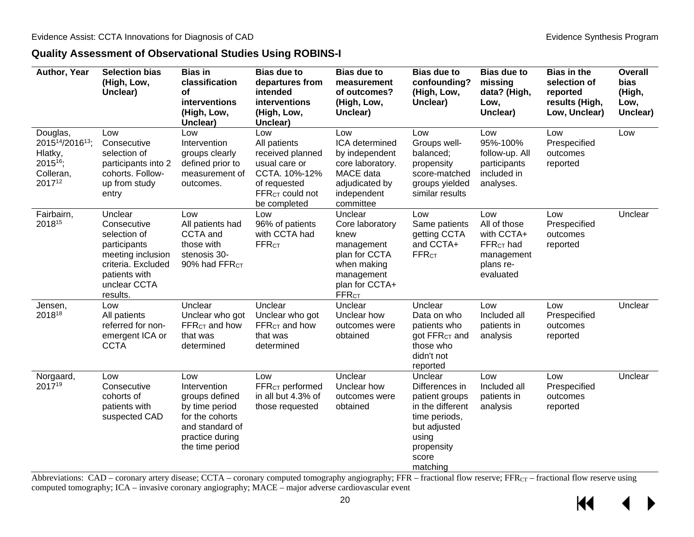#### **Quality Assessment of Observational Studies Using ROBINS-I**

<span id="page-21-0"></span>

| Author, Year                                                                  | <b>Selection bias</b><br>(High, Low,<br>Unclear)                                                                                               | <b>Bias in</b><br>classification<br>οf<br>interventions<br>(High, Low,<br>Unclear)                                                  | <b>Bias due to</b><br>departures from<br>intended<br>interventions<br>(High, Low,<br>Unclear)                                            | <b>Bias due to</b><br>measurement<br>of outcomes?<br>(High, Low,<br>Unclear)                                                     | <b>Bias due to</b><br>confounding?<br>(High, Low,<br>Unclear)                                                                                | <b>Bias due to</b><br>missing<br>data? (High,<br>Low,<br>Unclear)                        | <b>Bias in the</b><br>selection of<br>reported<br>results (High,<br>Low, Unclear) | <b>Overall</b><br>bias<br>(High,<br>Low,<br>Unclear) |
|-------------------------------------------------------------------------------|------------------------------------------------------------------------------------------------------------------------------------------------|-------------------------------------------------------------------------------------------------------------------------------------|------------------------------------------------------------------------------------------------------------------------------------------|----------------------------------------------------------------------------------------------------------------------------------|----------------------------------------------------------------------------------------------------------------------------------------------|------------------------------------------------------------------------------------------|-----------------------------------------------------------------------------------|------------------------------------------------------|
| Douglas,<br>201514/201613;<br>Hlatky,<br>$2015^{16}$ ;<br>Colleran,<br>201712 | Low<br>Consecutive<br>selection of<br>participants into 2<br>cohorts. Follow-<br>up from study<br>entry                                        | Low<br>Intervention<br>groups clearly<br>defined prior to<br>measurement of<br>outcomes.                                            | Low<br>All patients<br>received planned<br>usual care or<br>CCTA. 10%-12%<br>of requested<br>FFR <sub>CT</sub> could not<br>be completed | Low<br>ICA determined<br>by independent<br>core laboratory.<br>MACE data<br>adjudicated by<br>independent<br>committee           | Low<br>Groups well-<br>balanced;<br>propensity<br>score-matched<br>groups yielded<br>similar results                                         | Low<br>95%-100%<br>follow-up. All<br>participants<br>included in<br>analyses.            | Low<br>Prespecified<br>outcomes<br>reported                                       | Low                                                  |
| Fairbairn,<br>201815                                                          | Unclear<br>Consecutive<br>selection of<br>participants<br>meeting inclusion<br>criteria. Excluded<br>patients with<br>unclear CCTA<br>results. | Low<br>All patients had<br>CCTA and<br>those with<br>stenosis 30-<br>90% had FFR <sub>CT</sub>                                      | Low<br>96% of patients<br>with CCTA had<br><b>FFR<sub>CT</sub></b>                                                                       | Unclear<br>Core laboratory<br>knew<br>management<br>plan for CCTA<br>when making<br>management<br>plan for CCTA+<br><b>FFRct</b> | Low<br>Same patients<br>getting CCTA<br>and CCTA+<br><b>FFRCT</b>                                                                            | Low<br>All of those<br>with CCTA+<br>$FFRCT$ had<br>management<br>plans re-<br>evaluated | Low<br>Prespecified<br>outcomes<br>reported                                       | Unclear                                              |
| Jensen,<br>201818                                                             | Low<br>All patients<br>referred for non-<br>emergent ICA or<br><b>CCTA</b>                                                                     | Unclear<br>Unclear who got<br>FFR <sub>cT</sub> and how<br>that was<br>determined                                                   | Unclear<br>Unclear who got<br>FFR <sub>cT</sub> and how<br>that was<br>determined                                                        | Unclear<br>Unclear how<br>outcomes were<br>obtained                                                                              | Unclear<br>Data on who<br>patients who<br>got FFR <sub>CT</sub> and<br>those who<br>didn't not<br>reported                                   | Low<br>Included all<br>patients in<br>analysis                                           | Low<br>Prespecified<br>outcomes<br>reported                                       | Unclear                                              |
| Norgaard,<br>201719                                                           | Low<br>Consecutive<br>cohorts of<br>patients with<br>suspected CAD                                                                             | Low<br>Intervention<br>groups defined<br>by time period<br>for the cohorts<br>and standard of<br>practice during<br>the time period | Low<br>FFR <sub>CT</sub> performed<br>in all but 4.3% of<br>those requested                                                              | Unclear<br>Unclear how<br>outcomes were<br>obtained                                                                              | Unclear<br>Differences in<br>patient groups<br>in the different<br>time periods,<br>but adjusted<br>using<br>propensity<br>score<br>matching | Low<br>Included all<br>patients in<br>analysis                                           | Low<br>Prespecified<br>outcomes<br>reported                                       | Unclear                                              |

Abbreviations: CAD – coronary artery disease; CCTA – coronary computed tomography angiography; FFR – fractional flow reserve; FFR<sub>CT</sub> – fractional flow reserve using computed tomography; ICA – invasive coronary angiography; MACE – major adverse cardiovascular event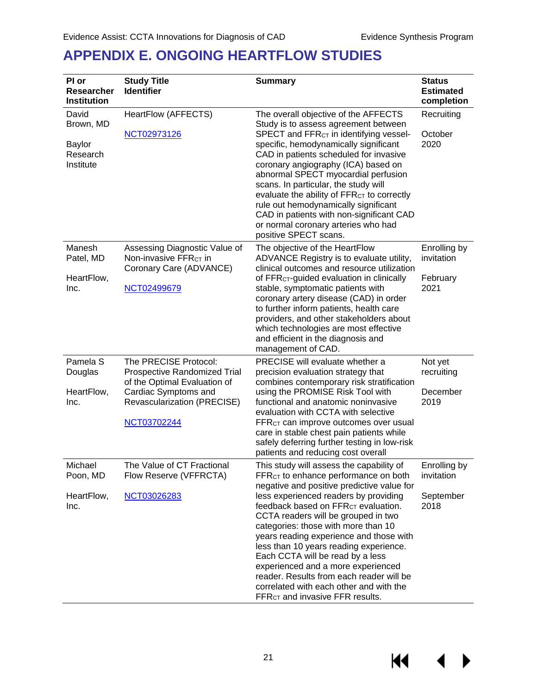## <span id="page-22-0"></span>**APPENDIX E. ONGOING HEARTFLOW STUDIES**

| PI or<br><b>Researcher</b><br><b>Institution</b>             | <b>Study Title</b><br><b>Identifier</b>                                                                                                                     | <b>Summary</b>                                                                                                                                                                                                                                                                                                                                                                                                                                                                                                                                                                                                            | <b>Status</b><br><b>Estimated</b><br>completion |
|--------------------------------------------------------------|-------------------------------------------------------------------------------------------------------------------------------------------------------------|---------------------------------------------------------------------------------------------------------------------------------------------------------------------------------------------------------------------------------------------------------------------------------------------------------------------------------------------------------------------------------------------------------------------------------------------------------------------------------------------------------------------------------------------------------------------------------------------------------------------------|-------------------------------------------------|
| David<br>Brown, MD<br><b>Baylor</b><br>Research<br>Institute | HeartFlow (AFFECTS)<br>NCT02973126                                                                                                                          | The overall objective of the AFFECTS<br>Study is to assess agreement between<br>SPECT and FFR <sub>CT</sub> in identifying vessel-<br>specific, hemodynamically significant<br>CAD in patients scheduled for invasive<br>coronary angiography (ICA) based on<br>abnormal SPECT myocardial perfusion<br>scans. In particular, the study will<br>evaluate the ability of FFR <sub>CT</sub> to correctly<br>rule out hemodynamically significant<br>CAD in patients with non-significant CAD<br>or normal coronary arteries who had<br>positive SPECT scans.                                                                 | Recruiting<br>October<br>2020                   |
| Manesh<br>Patel, MD<br>HeartFlow,<br>Inc.                    | Assessing Diagnostic Value of<br>Non-invasive FFR <sub>CT</sub> in<br>Coronary Care (ADVANCE)<br>NCT02499679                                                | The objective of the HeartFlow<br>ADVANCE Registry is to evaluate utility,<br>clinical outcomes and resource utilization<br>of FFR <sub>CT</sub> -guided evaluation in clinically<br>stable, symptomatic patients with<br>coronary artery disease (CAD) in order<br>to further inform patients, health care<br>providers, and other stakeholders about<br>which technologies are most effective<br>and efficient in the diagnosis and<br>management of CAD.                                                                                                                                                               | Enrolling by<br>invitation<br>February<br>2021  |
| Pamela <sub>S</sub><br>Douglas<br>HeartFlow,<br>Inc.         | The PRECISE Protocol:<br>Prospective Randomized Trial<br>of the Optimal Evaluation of<br>Cardiac Symptoms and<br>Revascularization (PRECISE)<br>NCT03702244 | PRECISE will evaluate whether a<br>precision evaluation strategy that<br>combines contemporary risk stratification<br>using the PROMISE Risk Tool with<br>functional and anatomic noninvasive<br>evaluation with CCTA with selective<br>FFR <sub>CT</sub> can improve outcomes over usual<br>care in stable chest pain patients while<br>safely deferring further testing in low-risk<br>patients and reducing cost overall                                                                                                                                                                                               | Not yet<br>recruiting<br>December<br>2019       |
| Michael<br>Poon, MD<br>HeartFlow,<br>Inc.                    | The Value of CT Fractional<br>Flow Reserve (VFFRCTA)<br>NCT03026283                                                                                         | This study will assess the capability of<br>FFR <sub>CT</sub> to enhance performance on both<br>negative and positive predictive value for<br>less experienced readers by providing<br>feedback based on FFR <sub>CT</sub> evaluation.<br>CCTA readers will be grouped in two<br>categories: those with more than 10<br>years reading experience and those with<br>less than 10 years reading experience.<br>Each CCTA will be read by a less<br>experienced and a more experienced<br>reader. Results from each reader will be<br>correlated with each other and with the<br>FFR <sub>CT</sub> and invasive FFR results. | Enrolling by<br>invitation<br>September<br>2018 |

KI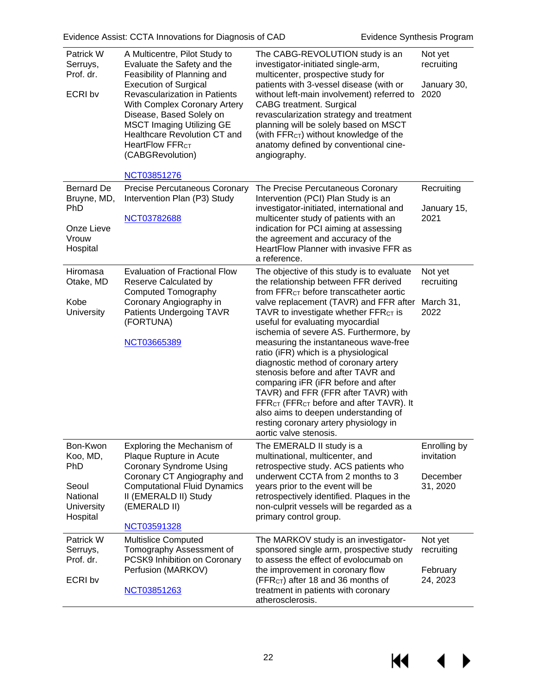| Patrick W<br>Serruys,<br>Prof. dr.<br>ECRI bv                                     | A Multicentre, Pilot Study to<br>Evaluate the Safety and the<br>Feasibility of Planning and<br><b>Execution of Surgical</b><br><b>Revascularization in Patients</b><br><b>With Complex Coronary Artery</b><br>Disease, Based Solely on<br><b>MSCT Imaging Utilizing GE</b><br><b>Healthcare Revolution CT and</b><br>HeartFlow FFR <sub>CT</sub><br>(CABGRevolution) | The CABG-REVOLUTION study is an<br>investigator-initiated single-arm,<br>multicenter, prospective study for<br>patients with 3-vessel disease (with or<br>without left-main involvement) referred to<br><b>CABG</b> treatment. Surgical<br>revascularization strategy and treatment<br>planning will be solely based on MSCT<br>(with FFR <sub>CT</sub> ) without knowledge of the<br>anatomy defined by conventional cine-<br>angiography.                                                                                                                                                                                                                                                                                                     | Not yet<br>recruiting<br>January 30,<br>2020       |
|-----------------------------------------------------------------------------------|----------------------------------------------------------------------------------------------------------------------------------------------------------------------------------------------------------------------------------------------------------------------------------------------------------------------------------------------------------------------|-------------------------------------------------------------------------------------------------------------------------------------------------------------------------------------------------------------------------------------------------------------------------------------------------------------------------------------------------------------------------------------------------------------------------------------------------------------------------------------------------------------------------------------------------------------------------------------------------------------------------------------------------------------------------------------------------------------------------------------------------|----------------------------------------------------|
|                                                                                   | <b>NCT03851276</b>                                                                                                                                                                                                                                                                                                                                                   |                                                                                                                                                                                                                                                                                                                                                                                                                                                                                                                                                                                                                                                                                                                                                 |                                                    |
| <b>Bernard De</b><br>Bruyne, MD,<br><b>PhD</b><br>Onze Lieve<br>Vrouw<br>Hospital | Precise Percutaneous Coronary<br>Intervention Plan (P3) Study<br><b>NCT03782688</b>                                                                                                                                                                                                                                                                                  | The Precise Percutaneous Coronary<br>Intervention (PCI) Plan Study is an<br>investigator-initiated, international and<br>multicenter study of patients with an<br>indication for PCI aiming at assessing<br>the agreement and accuracy of the<br>HeartFlow Planner with invasive FFR as<br>a reference.                                                                                                                                                                                                                                                                                                                                                                                                                                         | Recruiting<br>January 15,<br>2021                  |
| Hiromasa<br>Otake, MD<br>Kobe<br><b>University</b>                                | <b>Evaluation of Fractional Flow</b><br>Reserve Calculated by<br><b>Computed Tomography</b><br>Coronary Angiography in<br>Patients Undergoing TAVR<br>(FORTUNA)<br>NCT03665389                                                                                                                                                                                       | The objective of this study is to evaluate<br>the relationship between FFR derived<br>from FFR <sub>CT</sub> before transcatheter aortic<br>valve replacement (TAVR) and FFR after<br>TAVR to investigate whether FFR <sub>CT</sub> is<br>useful for evaluating myocardial<br>ischemia of severe AS. Furthermore, by<br>measuring the instantaneous wave-free<br>ratio (iFR) which is a physiological<br>diagnostic method of coronary artery<br>stenosis before and after TAVR and<br>comparing iFR (iFR before and after<br>TAVR) and FFR (FFR after TAVR) with<br>FFR <sub>CT</sub> (FFR <sub>CT</sub> before and after TAVR). It<br>also aims to deepen understanding of<br>resting coronary artery physiology in<br>aortic valve stenosis. | Not yet<br>recruiting<br>March 31,<br>2022         |
| Bon-Kwon<br>Koo, MD,<br>PhD<br>Seoul<br>National<br><b>University</b><br>Hospital | Exploring the Mechanism of<br>Plaque Rupture in Acute<br><b>Coronary Syndrome Using</b><br>Coronary CT Angiography and<br><b>Computational Fluid Dynamics</b><br>II (EMERALD II) Study<br>(EMERALD II)<br>NCT03591328                                                                                                                                                | The EMERALD II study is a<br>multinational, multicenter, and<br>retrospective study. ACS patients who<br>underwent CCTA from 2 months to 3<br>years prior to the event will be<br>retrospectively identified. Plaques in the<br>non-culprit vessels will be regarded as a<br>primary control group.                                                                                                                                                                                                                                                                                                                                                                                                                                             | Enrolling by<br>invitation<br>December<br>31, 2020 |
| Patrick W<br>Serruys,<br>Prof. dr.<br>ECRI bv                                     | <b>Multislice Computed</b><br>Tomography Assessment of<br>PCSK9 Inhibition on Coronary<br>Perfusion (MARKOV)<br>NCT03851263                                                                                                                                                                                                                                          | The MARKOV study is an investigator-<br>sponsored single arm, prospective study<br>to assess the effect of evolocumab on<br>the improvement in coronary flow<br>(FFR <sub>CT</sub> ) after 18 and 36 months of<br>treatment in patients with coronary<br>atherosclerosis.                                                                                                                                                                                                                                                                                                                                                                                                                                                                       | Not yet<br>recruiting<br>February<br>24, 2023      |

22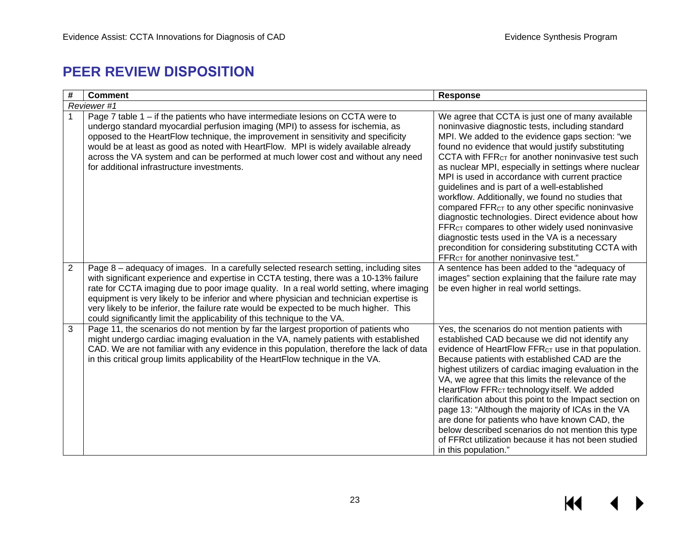### **PEER REVIEW DISPOSITION**

<span id="page-24-0"></span>

| #              | <b>Comment</b>                                                                                                                                                                                                                                                                                                                                                                                                                                                                                                                              | <b>Response</b>                                                                                                                                                                                                                                                                                                                                                                                                                                                                                                                                                                                                                                                                                                                                                                                                                                |  |  |  |
|----------------|---------------------------------------------------------------------------------------------------------------------------------------------------------------------------------------------------------------------------------------------------------------------------------------------------------------------------------------------------------------------------------------------------------------------------------------------------------------------------------------------------------------------------------------------|------------------------------------------------------------------------------------------------------------------------------------------------------------------------------------------------------------------------------------------------------------------------------------------------------------------------------------------------------------------------------------------------------------------------------------------------------------------------------------------------------------------------------------------------------------------------------------------------------------------------------------------------------------------------------------------------------------------------------------------------------------------------------------------------------------------------------------------------|--|--|--|
|                | Reviewer #1                                                                                                                                                                                                                                                                                                                                                                                                                                                                                                                                 |                                                                                                                                                                                                                                                                                                                                                                                                                                                                                                                                                                                                                                                                                                                                                                                                                                                |  |  |  |
|                | Page 7 table 1 – if the patients who have intermediate lesions on CCTA were to<br>undergo standard myocardial perfusion imaging (MPI) to assess for ischemia, as<br>opposed to the HeartFlow technique, the improvement in sensitivity and specificity<br>would be at least as good as noted with HeartFlow. MPI is widely available already<br>across the VA system and can be performed at much lower cost and without any need<br>for additional infrastructure investments.                                                             | We agree that CCTA is just one of many available<br>noninvasive diagnostic tests, including standard<br>MPI. We added to the evidence gaps section: "we<br>found no evidence that would justify substituting<br>CCTA with FFR <sub>CT</sub> for another noninvasive test such<br>as nuclear MPI, especially in settings where nuclear<br>MPI is used in accordance with current practice<br>guidelines and is part of a well-established<br>workflow. Additionally, we found no studies that<br>compared FFR <sub>CT</sub> to any other specific noninvasive<br>diagnostic technologies. Direct evidence about how<br>FFR <sub>CT</sub> compares to other widely used noninvasive<br>diagnostic tests used in the VA is a necessary<br>precondition for considering substituting CCTA with<br>FFR <sub>CT</sub> for another noninvasive test." |  |  |  |
| $\overline{2}$ | Page 8 - adequacy of images. In a carefully selected research setting, including sites<br>with significant experience and expertise in CCTA testing, there was a 10-13% failure<br>rate for CCTA imaging due to poor image quality. In a real world setting, where imaging<br>equipment is very likely to be inferior and where physician and technician expertise is<br>very likely to be inferior, the failure rate would be expected to be much higher. This<br>could significantly limit the applicability of this technique to the VA. | A sentence has been added to the "adequacy of<br>images" section explaining that the failure rate may<br>be even higher in real world settings.                                                                                                                                                                                                                                                                                                                                                                                                                                                                                                                                                                                                                                                                                                |  |  |  |
| 3              | Page 11, the scenarios do not mention by far the largest proportion of patients who<br>might undergo cardiac imaging evaluation in the VA, namely patients with established<br>CAD. We are not familiar with any evidence in this population, therefore the lack of data<br>in this critical group limits applicability of the HeartFlow technique in the VA.                                                                                                                                                                               | Yes, the scenarios do not mention patients with<br>established CAD because we did not identify any<br>evidence of HeartFlow FFR <sub>CT</sub> use in that population.<br>Because patients with established CAD are the<br>highest utilizers of cardiac imaging evaluation in the<br>VA, we agree that this limits the relevance of the<br>HeartFlow FFR <sub>CT</sub> technology itself. We added<br>clarification about this point to the Impact section on<br>page 13: "Although the majority of ICAs in the VA<br>are done for patients who have known CAD, the<br>below described scenarios do not mention this type<br>of FFRct utilization because it has not been studied<br>in this population."                                                                                                                                       |  |  |  |

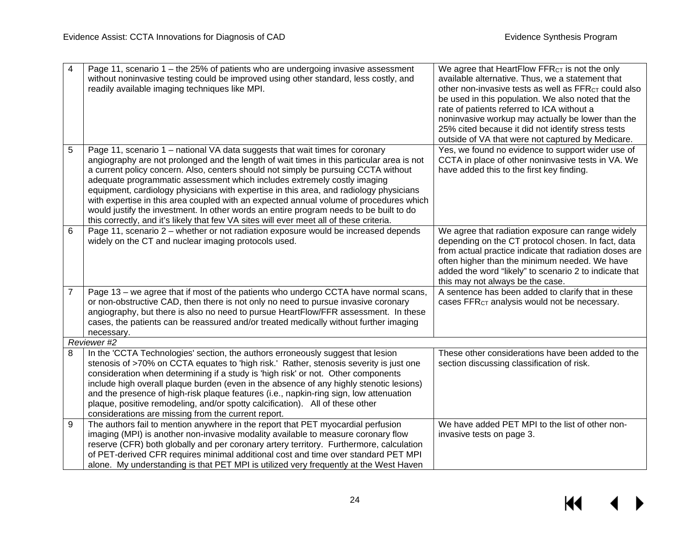| 4              | Page 11, scenario 1 - the 25% of patients who are undergoing invasive assessment                                                                                                                                                                                                                                        | We agree that HeartFlow FFR <sub>CT</sub> is not the only                    |
|----------------|-------------------------------------------------------------------------------------------------------------------------------------------------------------------------------------------------------------------------------------------------------------------------------------------------------------------------|------------------------------------------------------------------------------|
|                | without noninvasive testing could be improved using other standard, less costly, and                                                                                                                                                                                                                                    | available alternative. Thus, we a statement that                             |
|                | readily available imaging techniques like MPI.                                                                                                                                                                                                                                                                          | other non-invasive tests as well as FFR <sub>CT</sub> could also             |
|                |                                                                                                                                                                                                                                                                                                                         | be used in this population. We also noted that the                           |
|                |                                                                                                                                                                                                                                                                                                                         | rate of patients referred to ICA without a                                   |
|                |                                                                                                                                                                                                                                                                                                                         | noninvasive workup may actually be lower than the                            |
|                |                                                                                                                                                                                                                                                                                                                         | 25% cited because it did not identify stress tests                           |
|                |                                                                                                                                                                                                                                                                                                                         | outside of VA that were not captured by Medicare.                            |
| 5              | Page 11, scenario 1 - national VA data suggests that wait times for coronary                                                                                                                                                                                                                                            | Yes, we found no evidence to support wider use of                            |
|                | angiography are not prolonged and the length of wait times in this particular area is not                                                                                                                                                                                                                               | CCTA in place of other noninvasive tests in VA. We                           |
|                | a current policy concern. Also, centers should not simply be pursuing CCTA without                                                                                                                                                                                                                                      | have added this to the first key finding.                                    |
|                | adequate programmatic assessment which includes extremely costly imaging                                                                                                                                                                                                                                                |                                                                              |
|                | equipment, cardiology physicians with expertise in this area, and radiology physicians                                                                                                                                                                                                                                  |                                                                              |
|                | with expertise in this area coupled with an expected annual volume of procedures which                                                                                                                                                                                                                                  |                                                                              |
|                | would justify the investment. In other words an entire program needs to be built to do                                                                                                                                                                                                                                  |                                                                              |
|                | this correctly, and it's likely that few VA sites will ever meet all of these criteria.                                                                                                                                                                                                                                 |                                                                              |
| 6              | Page 11, scenario 2 – whether or not radiation exposure would be increased depends                                                                                                                                                                                                                                      | We agree that radiation exposure can range widely                            |
|                | widely on the CT and nuclear imaging protocols used.                                                                                                                                                                                                                                                                    | depending on the CT protocol chosen. In fact, data                           |
|                |                                                                                                                                                                                                                                                                                                                         | from actual practice indicate that radiation doses are                       |
|                |                                                                                                                                                                                                                                                                                                                         | often higher than the minimum needed. We have                                |
|                |                                                                                                                                                                                                                                                                                                                         | added the word "likely" to scenario 2 to indicate that                       |
|                |                                                                                                                                                                                                                                                                                                                         | this may not always be the case.                                             |
| $\overline{7}$ | Page 13 - we agree that if most of the patients who undergo CCTA have normal scans,                                                                                                                                                                                                                                     | A sentence has been added to clarify that in these                           |
|                | or non-obstructive CAD, then there is not only no need to pursue invasive coronary                                                                                                                                                                                                                                      | cases FFR <sub>CT</sub> analysis would not be necessary.                     |
|                | angiography, but there is also no need to pursue HeartFlow/FFR assessment. In these                                                                                                                                                                                                                                     |                                                                              |
|                | cases, the patients can be reassured and/or treated medically without further imaging                                                                                                                                                                                                                                   |                                                                              |
|                | necessary.                                                                                                                                                                                                                                                                                                              |                                                                              |
|                | Reviewer #2                                                                                                                                                                                                                                                                                                             |                                                                              |
| 8              | In the 'CCTA Technologies' section, the authors erroneously suggest that lesion                                                                                                                                                                                                                                         | These other considerations have been added to the                            |
|                | stenosis of >70% on CCTA equates to 'high risk.' Rather, stenosis severity is just one                                                                                                                                                                                                                                  | section discussing classification of risk.                                   |
|                | consideration when determining if a study is 'high risk' or not. Other components                                                                                                                                                                                                                                       |                                                                              |
|                | include high overall plaque burden (even in the absence of any highly stenotic lesions)                                                                                                                                                                                                                                 |                                                                              |
|                | and the presence of high-risk plaque features (i.e., napkin-ring sign, low attenuation                                                                                                                                                                                                                                  |                                                                              |
|                | plaque, positive remodeling, and/or spotty calcification). All of these other                                                                                                                                                                                                                                           |                                                                              |
|                |                                                                                                                                                                                                                                                                                                                         |                                                                              |
|                |                                                                                                                                                                                                                                                                                                                         |                                                                              |
|                |                                                                                                                                                                                                                                                                                                                         |                                                                              |
|                |                                                                                                                                                                                                                                                                                                                         |                                                                              |
|                | of PET-derived CFR requires minimal additional cost and time over standard PET MPI                                                                                                                                                                                                                                      |                                                                              |
|                |                                                                                                                                                                                                                                                                                                                         |                                                                              |
| 9              | considerations are missing from the current report.<br>The authors fail to mention anywhere in the report that PET myocardial perfusion<br>imaging (MPI) is another non-invasive modality available to measure coronary flow<br>reserve (CFR) both globally and per coronary artery territory. Furthermore, calculation | We have added PET MPI to the list of other non-<br>invasive tests on page 3. |
|                | alone. My understanding is that PET MPI is utilized very frequently at the West Haven                                                                                                                                                                                                                                   |                                                                              |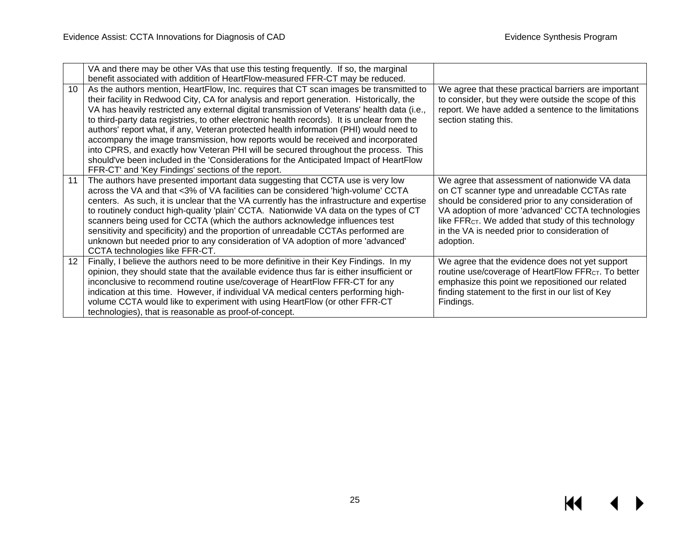|                  | VA and there may be other VAs that use this testing frequently. If so, the marginal<br>benefit associated with addition of HeartFlow-measured FFR-CT may be reduced.                                                                                                                                                                                                                                                                                                                                                                                                                                                                                                                                                                                                                                  |                                                                                                                                                                                                                                                                                                                                           |
|------------------|-------------------------------------------------------------------------------------------------------------------------------------------------------------------------------------------------------------------------------------------------------------------------------------------------------------------------------------------------------------------------------------------------------------------------------------------------------------------------------------------------------------------------------------------------------------------------------------------------------------------------------------------------------------------------------------------------------------------------------------------------------------------------------------------------------|-------------------------------------------------------------------------------------------------------------------------------------------------------------------------------------------------------------------------------------------------------------------------------------------------------------------------------------------|
| 10               | As the authors mention, HeartFlow, Inc. requires that CT scan images be transmitted to<br>their facility in Redwood City, CA for analysis and report generation. Historically, the<br>VA has heavily restricted any external digital transmission of Veterans' health data (i.e.,<br>to third-party data registries, to other electronic health records). It is unclear from the<br>authors' report what, if any, Veteran protected health information (PHI) would need to<br>accompany the image transmission, how reports would be received and incorporated<br>into CPRS, and exactly how Veteran PHI will be secured throughout the process. This<br>should've been included in the 'Considerations for the Anticipated Impact of HeartFlow<br>FFR-CT' and 'Key Findings' sections of the report. | We agree that these practical barriers are important<br>to consider, but they were outside the scope of this<br>report. We have added a sentence to the limitations<br>section stating this.                                                                                                                                              |
| 11               | The authors have presented important data suggesting that CCTA use is very low<br>across the VA and that <3% of VA facilities can be considered 'high-volume' CCTA<br>centers. As such, it is unclear that the VA currently has the infrastructure and expertise<br>to routinely conduct high-quality 'plain' CCTA. Nationwide VA data on the types of CT<br>scanners being used for CCTA (which the authors acknowledge influences test<br>sensitivity and specificity) and the proportion of unreadable CCTAs performed are<br>unknown but needed prior to any consideration of VA adoption of more 'advanced'<br>CCTA technologies like FFR-CT.                                                                                                                                                    | We agree that assessment of nationwide VA data<br>on CT scanner type and unreadable CCTAs rate<br>should be considered prior to any consideration of<br>VA adoption of more 'advanced' CCTA technologies<br>like FFR <sub>CT</sub> . We added that study of this technology<br>in the VA is needed prior to consideration of<br>adoption. |
| 12 <sup>12</sup> | Finally, I believe the authors need to be more definitive in their Key Findings. In my<br>opinion, they should state that the available evidence thus far is either insufficient or<br>inconclusive to recommend routine use/coverage of HeartFlow FFR-CT for any<br>indication at this time. However, if individual VA medical centers performing high-<br>volume CCTA would like to experiment with using HeartFlow (or other FFR-CT<br>technologies), that is reasonable as proof-of-concept.                                                                                                                                                                                                                                                                                                      | We agree that the evidence does not yet support<br>routine use/coverage of HeartFlow FFR <sub>CT</sub> . To better<br>emphasize this point we repositioned our related<br>finding statement to the first in our list of Key<br>Findings.                                                                                                  |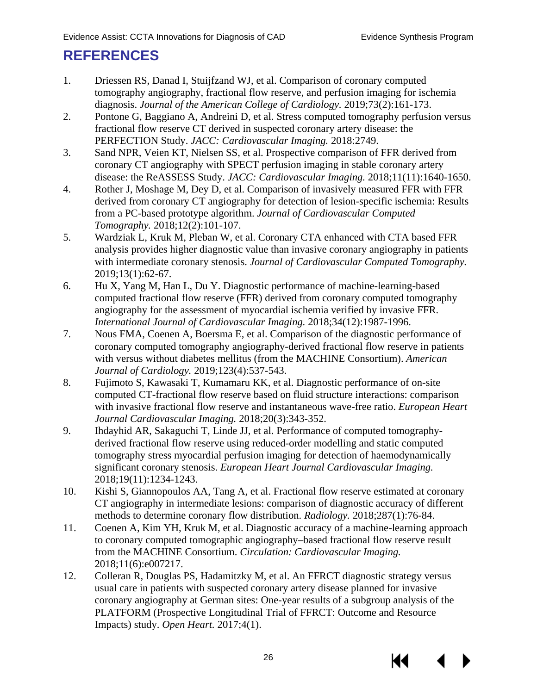### <span id="page-27-4"></span><span id="page-27-3"></span><span id="page-27-2"></span><span id="page-27-1"></span><span id="page-27-0"></span>**REFERENCES**

- <span id="page-27-5"></span>1. Driessen RS, Danad I, Stuijfzand WJ, et al. Comparison of coronary computed tomography angiography, fractional flow reserve, and perfusion imaging for ischemia diagnosis. *Journal of the American College of Cardiology.* 2019;73(2):161-173.
- <span id="page-27-6"></span>2. Pontone G, Baggiano A, Andreini D, et al. Stress computed tomography perfusion versus fractional flow reserve CT derived in suspected coronary artery disease: the PERFECTION Study. *JACC: Cardiovascular Imaging.* 2018:2749.
- 3. Sand NPR, Veien KT, Nielsen SS, et al. Prospective comparison of FFR derived from coronary CT angiography with SPECT perfusion imaging in stable coronary artery disease: the ReASSESS Study. *JACC: Cardiovascular Imaging.* 2018;11(11):1640-1650.
- <span id="page-27-7"></span>4. Rother J, Moshage M, Dey D, et al. Comparison of invasively measured FFR with FFR derived from coronary CT angiography for detection of lesion-specific ischemia: Results from a PC-based prototype algorithm. *Journal of Cardiovascular Computed Tomography.* 2018;12(2):101-107.
- <span id="page-27-8"></span>5. Wardziak L, Kruk M, Pleban W, et al. Coronary CTA enhanced with CTA based FFR analysis provides higher diagnostic value than invasive coronary angiography in patients with intermediate coronary stenosis. *Journal of Cardiovascular Computed Tomography.*  2019;13(1):62-67.
- <span id="page-27-9"></span>6. Hu X, Yang M, Han L, Du Y. Diagnostic performance of machine-learning-based computed fractional flow reserve (FFR) derived from coronary computed tomography angiography for the assessment of myocardial ischemia verified by invasive FFR. *International Journal of Cardiovascular Imaging.* 2018;34(12):1987-1996.
- <span id="page-27-10"></span>7. Nous FMA, Coenen A, Boersma E, et al. Comparison of the diagnostic performance of coronary computed tomography angiography-derived fractional flow reserve in patients with versus without diabetes mellitus (from the MACHINE Consortium). *American Journal of Cardiology.* 2019;123(4):537-543.
- <span id="page-27-11"></span>8. Fujimoto S, Kawasaki T, Kumamaru KK, et al. Diagnostic performance of on-site computed CT-fractional flow reserve based on fluid structure interactions: comparison with invasive fractional flow reserve and instantaneous wave-free ratio. *European Heart Journal Cardiovascular Imaging.* 2018;20(3):343-352.
- <span id="page-27-12"></span>9. Ihdayhid AR, Sakaguchi T, Linde JJ, et al. Performance of computed tomographyderived fractional flow reserve using reduced-order modelling and static computed tomography stress myocardial perfusion imaging for detection of haemodynamically significant coronary stenosis. *European Heart Journal Cardiovascular Imaging.*  2018;19(11):1234-1243.
- 10. Kishi S, Giannopoulos AA, Tang A, et al. Fractional flow reserve estimated at coronary CT angiography in intermediate lesions: comparison of diagnostic accuracy of different methods to determine coronary flow distribution. *Radiology.* 2018;287(1):76-84.
- 11. Coenen A, Kim YH, Kruk M, et al. Diagnostic accuracy of a machine-learning approach to coronary computed tomographic angiography–based fractional flow reserve result from the MACHINE Consortium. *Circulation: Cardiovascular Imaging.*  2018;11(6):e007217.
- 12. Colleran R, Douglas PS, Hadamitzky M, et al. An FFRCT diagnostic strategy versus usual care in patients with suspected coronary artery disease planned for invasive coronary angiography at German sites: One-year results of a subgroup analysis of the PLATFORM (Prospective Longitudinal Trial of FFRCT: Outcome and Resource Impacts) study. *Open Heart.* 2017;4(1).